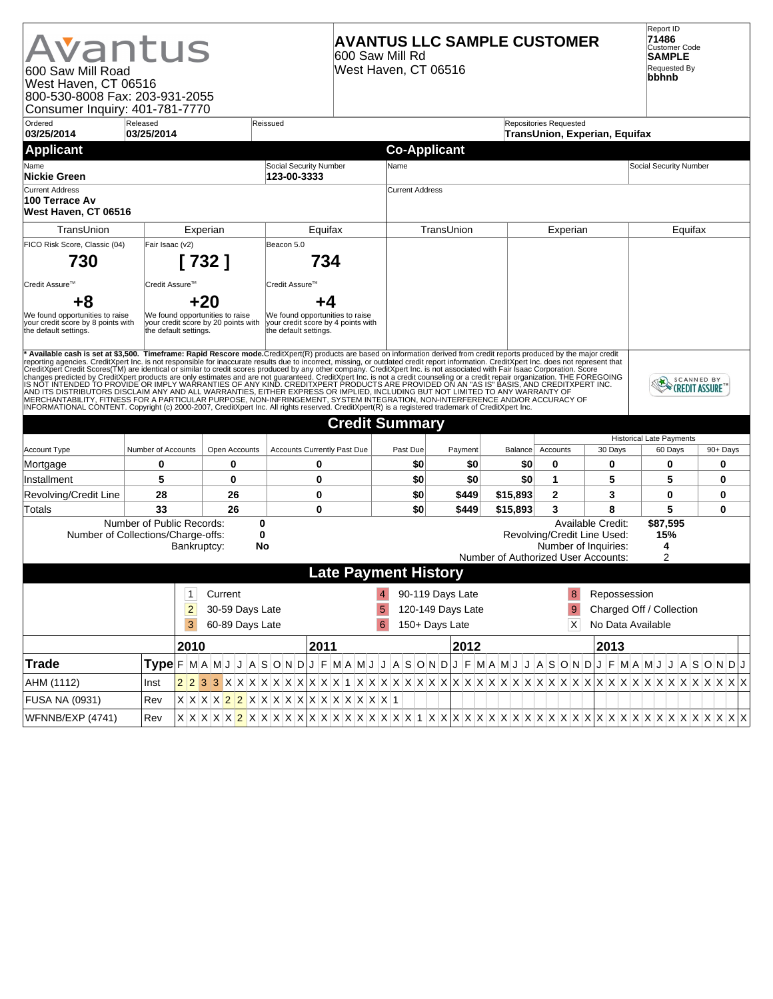# *vantus* 600 Saw Mill Road

West Haven, CT 06516 800-530-8008 Fax: 203-931-2055 Consumer Inquiry: 401-781-7770

#### **AVANTUS LLC SAMPLE CUSTOMER** 600 Saw Mill Rd

West Haven, CT 06516

| Repositories Requested<br>Released<br>Reissued<br>03/25/2014<br>TransUnion, Experian, Equifax<br><b>Co-Applicant</b><br>Social Security Number<br>Name<br>Social Security Number<br>123-00-3333<br><b>Current Address</b><br>West Haven, CT 06516<br>TransUnion<br>Experian<br>Equifax<br>TransUnion<br>Experian<br>Equifax<br>Fair Isaac (v2)<br>Beacon 5.0<br>734<br>730<br>[ 732 ]<br>Credit Assure™<br>Credit Assure <sup>™</sup><br>+8<br>+4<br>We found opportunities to raise<br>We found opportunities to raise<br>We found opportunities to raise<br>your credit score by 8 points with<br>your credit score by 20 points with<br>your credit score by 4 points with<br>the default settings.<br>the default settings.<br>Available cash is set at \$3,500. Timeframe: Rapid Rescore mode.CreditXpert(R) products are based on information derived from credit reports produced by the major credit<br>Prevailable cash is set at \$3,500. Iller frame: Kapita Rescore in oncorrect, missing, or outdated credit report information. CreditXpert Inc. does not represent that<br>Ireporting agencies. CreditXpert Inc. is not responsible<br>SCANNED BY<br><b>CREDIT ASSURE</b><br><b>Credit Summary</b><br><b>Historical Late Payments</b><br>Account Type<br>Number of Accounts<br>Open Accounts<br>Accounts Currently Past Due<br>Past Due<br>Accounts<br>30 Days<br>60 Days<br>90+ Days<br>Payment<br>Balance<br>\$0<br>0<br>0<br>0<br>\$0<br>\$0<br>0<br>0<br>0<br>0<br>5<br>$\bf{0}$<br>$\bf{0}$<br>\$0<br>\$0<br>1<br>5<br>5<br>$\bf{0}$<br>\$0<br>3<br>28<br>26<br>$\bf{0}$<br>\$449<br>$\mathbf{2}$<br>0<br>$\bf{0}$<br>\$0<br>\$15,893<br>5<br>33<br>26<br>$\bf{0}$<br>\$0<br>\$449<br>\$15,893<br>3<br>8<br>0<br>Number of Public Records:<br>$\mathbf 0$<br>Available Credit:<br>\$87,595<br>Number of Collections/Charge-offs:<br>Revolving/Credit Line Used:<br>$\bf{0}$<br>15%<br>Number of Inquiries:<br>Bankruptcy:<br>No<br>4<br>2<br>Number of Authorized User Accounts:<br><b>Late Payment History</b><br>$\mathbf{1}$<br>90-119 Days Late<br>8<br>Current<br>Repossession<br>$\overline{2}$<br>$5\phantom{1}$<br>30-59 Days Late<br>120-149 Days Late<br>Charged Off / Collection<br><b>9</b><br>3<br>No Data Available<br>60-89 Days Late<br>6<br>150+ Days Late<br>X<br>2011<br>2010<br>2012<br>2013<br>Trade<br>Type FMAMJJASONDJFMAMJJASONDJFMAMJJASONDJFMAMJJASONDJFMAMJJASONDJ<br>AHM (1112)<br>Inst<br> x  x  x  x <mark>2  2  x  x  x  x  x  x  x  x  x  x  x  x  </mark> x  <br>Rev<br>Rev | Consumer inquiry. 401-701-7770           |  |  |  |  |  |  |  |  |  |  |  |  |  |  |  |  |  |  |  |
|-----------------------------------------------------------------------------------------------------------------------------------------------------------------------------------------------------------------------------------------------------------------------------------------------------------------------------------------------------------------------------------------------------------------------------------------------------------------------------------------------------------------------------------------------------------------------------------------------------------------------------------------------------------------------------------------------------------------------------------------------------------------------------------------------------------------------------------------------------------------------------------------------------------------------------------------------------------------------------------------------------------------------------------------------------------------------------------------------------------------------------------------------------------------------------------------------------------------------------------------------------------------------------------------------------------------------------------------------------------------------------------------------------------------------------------------------------------------------------------------------------------------------------------------------------------------------------------------------------------------------------------------------------------------------------------------------------------------------------------------------------------------------------------------------------------------------------------------------------------------------------------------------------------------------------------------------------------------------------------------------------------------------------------------------------------------------------------------------------------------------------------------------------------------------------------------------------------------------------------------------------------------------------------------------------------------------------------------------------------------------------------------------------------------------------------------------------------------------------------------------------------------------------------|------------------------------------------|--|--|--|--|--|--|--|--|--|--|--|--|--|--|--|--|--|--|--|
|                                                                                                                                                                                                                                                                                                                                                                                                                                                                                                                                                                                                                                                                                                                                                                                                                                                                                                                                                                                                                                                                                                                                                                                                                                                                                                                                                                                                                                                                                                                                                                                                                                                                                                                                                                                                                                                                                                                                                                                                                                                                                                                                                                                                                                                                                                                                                                                                                                                                                                                                   | Ordered<br>03/25/2014                    |  |  |  |  |  |  |  |  |  |  |  |  |  |  |  |  |  |  |  |
|                                                                                                                                                                                                                                                                                                                                                                                                                                                                                                                                                                                                                                                                                                                                                                                                                                                                                                                                                                                                                                                                                                                                                                                                                                                                                                                                                                                                                                                                                                                                                                                                                                                                                                                                                                                                                                                                                                                                                                                                                                                                                                                                                                                                                                                                                                                                                                                                                                                                                                                                   | <b>Applicant</b>                         |  |  |  |  |  |  |  |  |  |  |  |  |  |  |  |  |  |  |  |
|                                                                                                                                                                                                                                                                                                                                                                                                                                                                                                                                                                                                                                                                                                                                                                                                                                                                                                                                                                                                                                                                                                                                                                                                                                                                                                                                                                                                                                                                                                                                                                                                                                                                                                                                                                                                                                                                                                                                                                                                                                                                                                                                                                                                                                                                                                                                                                                                                                                                                                                                   | Name<br><b>Nickie Green</b>              |  |  |  |  |  |  |  |  |  |  |  |  |  |  |  |  |  |  |  |
|                                                                                                                                                                                                                                                                                                                                                                                                                                                                                                                                                                                                                                                                                                                                                                                                                                                                                                                                                                                                                                                                                                                                                                                                                                                                                                                                                                                                                                                                                                                                                                                                                                                                                                                                                                                                                                                                                                                                                                                                                                                                                                                                                                                                                                                                                                                                                                                                                                                                                                                                   | <b>Current Address</b><br>100 Terrace Av |  |  |  |  |  |  |  |  |  |  |  |  |  |  |  |  |  |  |  |
|                                                                                                                                                                                                                                                                                                                                                                                                                                                                                                                                                                                                                                                                                                                                                                                                                                                                                                                                                                                                                                                                                                                                                                                                                                                                                                                                                                                                                                                                                                                                                                                                                                                                                                                                                                                                                                                                                                                                                                                                                                                                                                                                                                                                                                                                                                                                                                                                                                                                                                                                   |                                          |  |  |  |  |  |  |  |  |  |  |  |  |  |  |  |  |  |  |  |
|                                                                                                                                                                                                                                                                                                                                                                                                                                                                                                                                                                                                                                                                                                                                                                                                                                                                                                                                                                                                                                                                                                                                                                                                                                                                                                                                                                                                                                                                                                                                                                                                                                                                                                                                                                                                                                                                                                                                                                                                                                                                                                                                                                                                                                                                                                                                                                                                                                                                                                                                   | FICO Risk Score, Classic (04)            |  |  |  |  |  |  |  |  |  |  |  |  |  |  |  |  |  |  |  |
|                                                                                                                                                                                                                                                                                                                                                                                                                                                                                                                                                                                                                                                                                                                                                                                                                                                                                                                                                                                                                                                                                                                                                                                                                                                                                                                                                                                                                                                                                                                                                                                                                                                                                                                                                                                                                                                                                                                                                                                                                                                                                                                                                                                                                                                                                                                                                                                                                                                                                                                                   |                                          |  |  |  |  |  |  |  |  |  |  |  |  |  |  |  |  |  |  |  |
|                                                                                                                                                                                                                                                                                                                                                                                                                                                                                                                                                                                                                                                                                                                                                                                                                                                                                                                                                                                                                                                                                                                                                                                                                                                                                                                                                                                                                                                                                                                                                                                                                                                                                                                                                                                                                                                                                                                                                                                                                                                                                                                                                                                                                                                                                                                                                                                                                                                                                                                                   | Credit Assure™                           |  |  |  |  |  |  |  |  |  |  |  |  |  |  |  |  |  |  |  |
|                                                                                                                                                                                                                                                                                                                                                                                                                                                                                                                                                                                                                                                                                                                                                                                                                                                                                                                                                                                                                                                                                                                                                                                                                                                                                                                                                                                                                                                                                                                                                                                                                                                                                                                                                                                                                                                                                                                                                                                                                                                                                                                                                                                                                                                                                                                                                                                                                                                                                                                                   |                                          |  |  |  |  |  |  |  |  |  |  |  |  |  |  |  |  |  |  |  |
|                                                                                                                                                                                                                                                                                                                                                                                                                                                                                                                                                                                                                                                                                                                                                                                                                                                                                                                                                                                                                                                                                                                                                                                                                                                                                                                                                                                                                                                                                                                                                                                                                                                                                                                                                                                                                                                                                                                                                                                                                                                                                                                                                                                                                                                                                                                                                                                                                                                                                                                                   | the default settings.                    |  |  |  |  |  |  |  |  |  |  |  |  |  |  |  |  |  |  |  |
|                                                                                                                                                                                                                                                                                                                                                                                                                                                                                                                                                                                                                                                                                                                                                                                                                                                                                                                                                                                                                                                                                                                                                                                                                                                                                                                                                                                                                                                                                                                                                                                                                                                                                                                                                                                                                                                                                                                                                                                                                                                                                                                                                                                                                                                                                                                                                                                                                                                                                                                                   |                                          |  |  |  |  |  |  |  |  |  |  |  |  |  |  |  |  |  |  |  |
|                                                                                                                                                                                                                                                                                                                                                                                                                                                                                                                                                                                                                                                                                                                                                                                                                                                                                                                                                                                                                                                                                                                                                                                                                                                                                                                                                                                                                                                                                                                                                                                                                                                                                                                                                                                                                                                                                                                                                                                                                                                                                                                                                                                                                                                                                                                                                                                                                                                                                                                                   |                                          |  |  |  |  |  |  |  |  |  |  |  |  |  |  |  |  |  |  |  |
|                                                                                                                                                                                                                                                                                                                                                                                                                                                                                                                                                                                                                                                                                                                                                                                                                                                                                                                                                                                                                                                                                                                                                                                                                                                                                                                                                                                                                                                                                                                                                                                                                                                                                                                                                                                                                                                                                                                                                                                                                                                                                                                                                                                                                                                                                                                                                                                                                                                                                                                                   |                                          |  |  |  |  |  |  |  |  |  |  |  |  |  |  |  |  |  |  |  |
|                                                                                                                                                                                                                                                                                                                                                                                                                                                                                                                                                                                                                                                                                                                                                                                                                                                                                                                                                                                                                                                                                                                                                                                                                                                                                                                                                                                                                                                                                                                                                                                                                                                                                                                                                                                                                                                                                                                                                                                                                                                                                                                                                                                                                                                                                                                                                                                                                                                                                                                                   | Mortgage                                 |  |  |  |  |  |  |  |  |  |  |  |  |  |  |  |  |  |  |  |
|                                                                                                                                                                                                                                                                                                                                                                                                                                                                                                                                                                                                                                                                                                                                                                                                                                                                                                                                                                                                                                                                                                                                                                                                                                                                                                                                                                                                                                                                                                                                                                                                                                                                                                                                                                                                                                                                                                                                                                                                                                                                                                                                                                                                                                                                                                                                                                                                                                                                                                                                   | Installment                              |  |  |  |  |  |  |  |  |  |  |  |  |  |  |  |  |  |  |  |
|                                                                                                                                                                                                                                                                                                                                                                                                                                                                                                                                                                                                                                                                                                                                                                                                                                                                                                                                                                                                                                                                                                                                                                                                                                                                                                                                                                                                                                                                                                                                                                                                                                                                                                                                                                                                                                                                                                                                                                                                                                                                                                                                                                                                                                                                                                                                                                                                                                                                                                                                   | Revolving/Credit Line                    |  |  |  |  |  |  |  |  |  |  |  |  |  |  |  |  |  |  |  |
|                                                                                                                                                                                                                                                                                                                                                                                                                                                                                                                                                                                                                                                                                                                                                                                                                                                                                                                                                                                                                                                                                                                                                                                                                                                                                                                                                                                                                                                                                                                                                                                                                                                                                                                                                                                                                                                                                                                                                                                                                                                                                                                                                                                                                                                                                                                                                                                                                                                                                                                                   | Totals                                   |  |  |  |  |  |  |  |  |  |  |  |  |  |  |  |  |  |  |  |
|                                                                                                                                                                                                                                                                                                                                                                                                                                                                                                                                                                                                                                                                                                                                                                                                                                                                                                                                                                                                                                                                                                                                                                                                                                                                                                                                                                                                                                                                                                                                                                                                                                                                                                                                                                                                                                                                                                                                                                                                                                                                                                                                                                                                                                                                                                                                                                                                                                                                                                                                   |                                          |  |  |  |  |  |  |  |  |  |  |  |  |  |  |  |  |  |  |  |
|                                                                                                                                                                                                                                                                                                                                                                                                                                                                                                                                                                                                                                                                                                                                                                                                                                                                                                                                                                                                                                                                                                                                                                                                                                                                                                                                                                                                                                                                                                                                                                                                                                                                                                                                                                                                                                                                                                                                                                                                                                                                                                                                                                                                                                                                                                                                                                                                                                                                                                                                   |                                          |  |  |  |  |  |  |  |  |  |  |  |  |  |  |  |  |  |  |  |
|                                                                                                                                                                                                                                                                                                                                                                                                                                                                                                                                                                                                                                                                                                                                                                                                                                                                                                                                                                                                                                                                                                                                                                                                                                                                                                                                                                                                                                                                                                                                                                                                                                                                                                                                                                                                                                                                                                                                                                                                                                                                                                                                                                                                                                                                                                                                                                                                                                                                                                                                   |                                          |  |  |  |  |  |  |  |  |  |  |  |  |  |  |  |  |  |  |  |
|                                                                                                                                                                                                                                                                                                                                                                                                                                                                                                                                                                                                                                                                                                                                                                                                                                                                                                                                                                                                                                                                                                                                                                                                                                                                                                                                                                                                                                                                                                                                                                                                                                                                                                                                                                                                                                                                                                                                                                                                                                                                                                                                                                                                                                                                                                                                                                                                                                                                                                                                   |                                          |  |  |  |  |  |  |  |  |  |  |  |  |  |  |  |  |  |  |  |
|                                                                                                                                                                                                                                                                                                                                                                                                                                                                                                                                                                                                                                                                                                                                                                                                                                                                                                                                                                                                                                                                                                                                                                                                                                                                                                                                                                                                                                                                                                                                                                                                                                                                                                                                                                                                                                                                                                                                                                                                                                                                                                                                                                                                                                                                                                                                                                                                                                                                                                                                   |                                          |  |  |  |  |  |  |  |  |  |  |  |  |  |  |  |  |  |  |  |
|                                                                                                                                                                                                                                                                                                                                                                                                                                                                                                                                                                                                                                                                                                                                                                                                                                                                                                                                                                                                                                                                                                                                                                                                                                                                                                                                                                                                                                                                                                                                                                                                                                                                                                                                                                                                                                                                                                                                                                                                                                                                                                                                                                                                                                                                                                                                                                                                                                                                                                                                   |                                          |  |  |  |  |  |  |  |  |  |  |  |  |  |  |  |  |  |  |  |
|                                                                                                                                                                                                                                                                                                                                                                                                                                                                                                                                                                                                                                                                                                                                                                                                                                                                                                                                                                                                                                                                                                                                                                                                                                                                                                                                                                                                                                                                                                                                                                                                                                                                                                                                                                                                                                                                                                                                                                                                                                                                                                                                                                                                                                                                                                                                                                                                                                                                                                                                   |                                          |  |  |  |  |  |  |  |  |  |  |  |  |  |  |  |  |  |  |  |
|                                                                                                                                                                                                                                                                                                                                                                                                                                                                                                                                                                                                                                                                                                                                                                                                                                                                                                                                                                                                                                                                                                                                                                                                                                                                                                                                                                                                                                                                                                                                                                                                                                                                                                                                                                                                                                                                                                                                                                                                                                                                                                                                                                                                                                                                                                                                                                                                                                                                                                                                   | <b>FUSA NA (0931)</b>                    |  |  |  |  |  |  |  |  |  |  |  |  |  |  |  |  |  |  |  |
|                                                                                                                                                                                                                                                                                                                                                                                                                                                                                                                                                                                                                                                                                                                                                                                                                                                                                                                                                                                                                                                                                                                                                                                                                                                                                                                                                                                                                                                                                                                                                                                                                                                                                                                                                                                                                                                                                                                                                                                                                                                                                                                                                                                                                                                                                                                                                                                                                                                                                                                                   | <b>WFNNB/EXP (4741)</b>                  |  |  |  |  |  |  |  |  |  |  |  |  |  |  |  |  |  |  |  |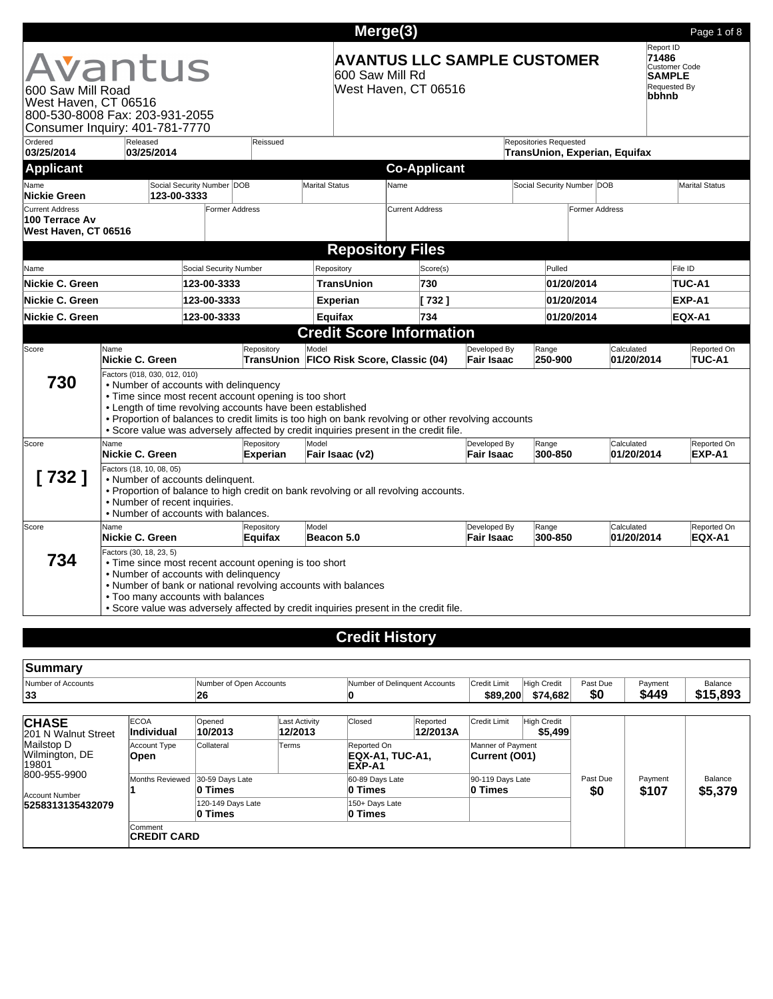|                                                                  |                                                                                                                                                                                                                                                                                                                                                                                            |                            |                                                        |                       |                                         | Merge(3)               |                     |                                    |                        |                            |                                      |                                                                               | Page 1 of 8           |
|------------------------------------------------------------------|--------------------------------------------------------------------------------------------------------------------------------------------------------------------------------------------------------------------------------------------------------------------------------------------------------------------------------------------------------------------------------------------|----------------------------|--------------------------------------------------------|-----------------------|-----------------------------------------|------------------------|---------------------|------------------------------------|------------------------|----------------------------|--------------------------------------|-------------------------------------------------------------------------------|-----------------------|
| 600 Saw Mill Road<br>West Haven, CT 06516                        | Avantus<br>800-530-8008 Fax: 203-931-2055<br>Consumer Inquiry: 401-781-7770                                                                                                                                                                                                                                                                                                                |                            |                                                        |                       | 600 Saw Mill Rd<br>West Haven, CT 06516 |                        |                     | <b>AVANTUS LLC SAMPLE CUSTOMER</b> |                        |                            |                                      | Report ID<br>71486<br>Customer Code<br><b>SAMPLE</b><br>Requested By<br>bbhnb |                       |
| Ordered                                                          | Released                                                                                                                                                                                                                                                                                                                                                                                   |                            | Reissued                                               |                       |                                         |                        |                     |                                    | Repositories Requested |                            |                                      |                                                                               |                       |
| 03/25/2014                                                       | 03/25/2014                                                                                                                                                                                                                                                                                                                                                                                 |                            |                                                        |                       |                                         |                        |                     |                                    |                        |                            | <b>TransUnion, Experian, Equifax</b> |                                                                               |                       |
| <b>Applicant</b>                                                 |                                                                                                                                                                                                                                                                                                                                                                                            |                            |                                                        |                       |                                         |                        | <b>Co-Applicant</b> |                                    |                        |                            |                                      |                                                                               |                       |
| Name<br><b>Nickie Green</b>                                      | 123-00-3333                                                                                                                                                                                                                                                                                                                                                                                | Social Security Number DOB |                                                        | <b>Marital Status</b> |                                         | Name                   |                     |                                    |                        | Social Security Number DOB |                                      |                                                                               | <b>Marital Status</b> |
| <b>Current Address</b><br>100 Terrace Av<br>West Haven, CT 06516 |                                                                                                                                                                                                                                                                                                                                                                                            | Former Address             |                                                        |                       |                                         | <b>Current Address</b> |                     |                                    |                        |                            | Former Address                       |                                                                               |                       |
|                                                                  |                                                                                                                                                                                                                                                                                                                                                                                            |                            |                                                        |                       | <b>Repository Files</b>                 |                        |                     |                                    |                        |                            |                                      |                                                                               |                       |
| Name                                                             |                                                                                                                                                                                                                                                                                                                                                                                            | Social Security Number     |                                                        |                       | Repository                              |                        | Score(s)            |                                    |                        | Pulled                     |                                      |                                                                               | File ID               |
| Nickie C. Green                                                  |                                                                                                                                                                                                                                                                                                                                                                                            | 123-00-3333                |                                                        |                       | <b>TransUnion</b>                       |                        | 730                 |                                    |                        | 01/20/2014                 |                                      |                                                                               | TUC-A1                |
| Nickie C. Green                                                  |                                                                                                                                                                                                                                                                                                                                                                                            | 123-00-3333                |                                                        |                       | <b>Experian</b>                         |                        | [732]               |                                    |                        | 01/20/2014                 |                                      |                                                                               | EXP-A1                |
| Nickie C. Green                                                  |                                                                                                                                                                                                                                                                                                                                                                                            | 123-00-3333                |                                                        |                       | Equifax                                 |                        | 734                 |                                    |                        | 01/20/2014                 |                                      |                                                                               | EQX-A1                |
|                                                                  |                                                                                                                                                                                                                                                                                                                                                                                            |                            |                                                        |                       | <b>Credit Score Information</b>         |                        |                     |                                    |                        |                            |                                      |                                                                               |                       |
| Score                                                            | Name<br>Nickie C. Green                                                                                                                                                                                                                                                                                                                                                                    |                            | Repository<br>TransUnion FICO Risk Score, Classic (04) | Model                 |                                         |                        |                     | Developed By<br><b>Fair Isaac</b>  | Range                  | 250-900                    | Calculated<br>01/20/2014             |                                                                               | Reported On<br>TUC-A1 |
| 730                                                              | Factors (018, 030, 012, 010)<br>• Number of accounts with delinguency<br>• Time since most recent account opening is too short<br>• Length of time revolving accounts have been established<br>• Proportion of balances to credit limits is too high on bank revolving or other revolving accounts<br>. Score value was adversely affected by credit inquiries present in the credit file. |                            |                                                        |                       |                                         |                        |                     |                                    |                        |                            |                                      |                                                                               |                       |
| Score                                                            | Name<br>Nickie C. Green                                                                                                                                                                                                                                                                                                                                                                    |                            | Repository<br><b>Experian</b>                          | Model                 | Fair Isaac (v2)                         |                        |                     | Developed By<br><b>Fair Isaac</b>  | Range                  | 300-850                    | Calculated<br>01/20/2014             |                                                                               | Reported On<br>EXP-A1 |
| 732 ]                                                            | Factors (18, 10, 08, 05)<br>• Number of accounts delinguent.<br>. Proportion of balance to high credit on bank revolving or all revolving accounts.<br>• Number of recent inquiries.<br>. Number of accounts with balances.                                                                                                                                                                |                            |                                                        |                       |                                         |                        |                     |                                    |                        |                            |                                      |                                                                               |                       |
| Score                                                            | Name<br>Nickie C. Green                                                                                                                                                                                                                                                                                                                                                                    |                            | Repository<br>Equifax                                  | Model                 | Beacon 5.0                              |                        |                     | Developed By<br><b>Fair Isaac</b>  | Range                  | 300-850                    | Calculated<br>01/20/2014             |                                                                               | Reported On<br>EQX-A1 |
| 734                                                              | Factors (30, 18, 23, 5)<br>• Time since most recent account opening is too short<br>• Number of accounts with delinquency<br>• Number of bank or national revolving accounts with balances<br>• Too many accounts with balances<br>. Score value was adversely affected by credit inquiries present in the credit file.                                                                    |                            |                                                        |                       |                                         |                        |                     |                                    |                        |                            |                                      |                                                                               |                       |

### **Credit History**

| Summary                                                      |                               |                               |                                 |                                          |                               |                                                            |                        |                 |                  |                     |
|--------------------------------------------------------------|-------------------------------|-------------------------------|---------------------------------|------------------------------------------|-------------------------------|------------------------------------------------------------|------------------------|-----------------|------------------|---------------------|
| Number of Accounts<br>33                                     |                               | Number of Open Accounts<br>26 |                                 |                                          | Number of Delinquent Accounts | High Credit<br><b>Credit Limit</b><br>\$74,682<br>\$89,200 |                        | Past Due<br>\$0 | Payment<br>\$449 | Balance<br>\$15,893 |
| <b>CHASE</b>                                                 | <b>ECOA</b><br>Individual     | Opened<br>10/2013             | <b>Last Activity</b><br>12/2013 | Closed                                   | Reported<br>12/2013A          | Credit Limit                                               | High Credit<br>\$5,499 |                 |                  |                     |
| 201 N Walnut Street<br>Mailstop D<br>Wilmington, DE<br>19801 | Account Type<br>∣Open         | Collateral                    | Terms                           | Reported On<br>EQX-A1. TUC-A1.<br>EXP-A1 |                               | Manner of Payment<br>Current (O01)                         |                        |                 |                  |                     |
| 800-955-9900<br>Account Number                               | Months Reviewed               | 30-59 Days Late<br>0 Times    |                                 | 60-89 Days Late<br>0 Times               |                               | 90-119 Days Late<br>0 Times                                |                        | Past Due<br>\$0 | Payment<br>\$107 | Balance<br>\$5,379  |
| 5258313135432079                                             |                               | 120-149 Days Late<br>0 Times  |                                 | 150+ Days Late<br>0 Times                |                               |                                                            |                        |                 |                  |                     |
|                                                              | Comment<br><b>CREDIT CARD</b> |                               |                                 |                                          |                               |                                                            |                        |                 |                  |                     |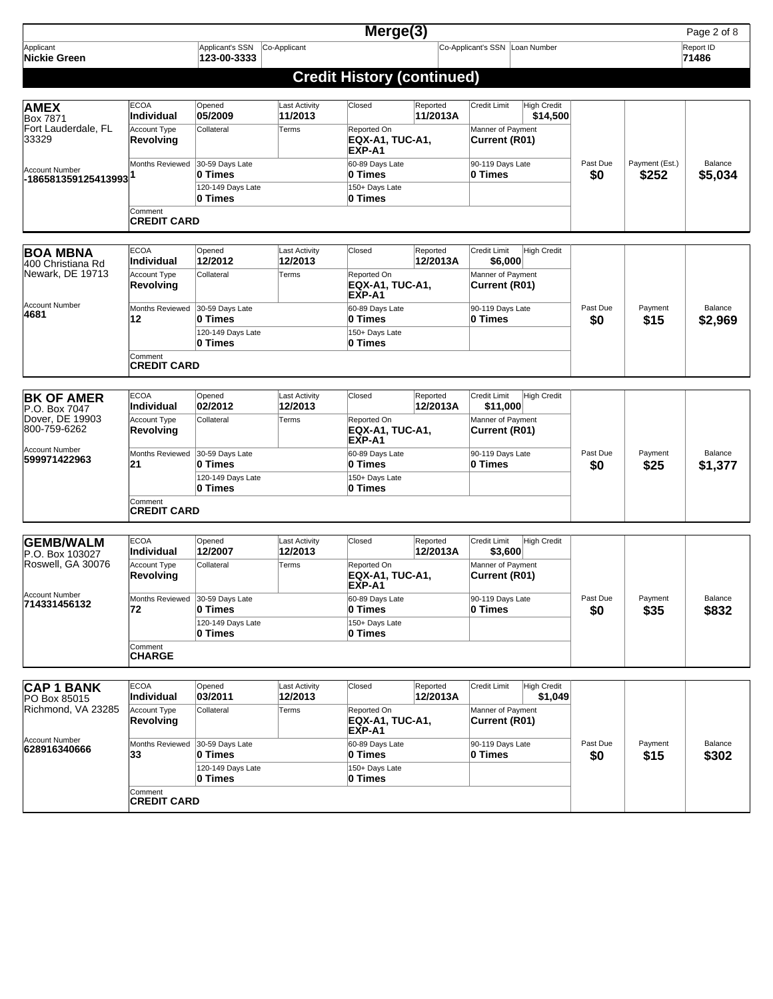|                                                  |                                         |                                |                                 | Merge(3)                                        |                      |                                                |                                |                 |                         | Page 2 of 8        |
|--------------------------------------------------|-----------------------------------------|--------------------------------|---------------------------------|-------------------------------------------------|----------------------|------------------------------------------------|--------------------------------|-----------------|-------------------------|--------------------|
| Applicant<br><b>Nickie Green</b>                 |                                         | Applicant's SSN<br>123-00-3333 | Co-Applicant                    |                                                 |                      | Co-Applicant's SSN Loan Number                 |                                |                 |                         | Report ID<br>71486 |
|                                                  |                                         |                                |                                 | <b>Credit History (continued)</b>               |                      |                                                |                                |                 |                         |                    |
| <b>AMEX</b><br><b>Box 7871</b>                   | <b>ECOA</b><br>Individual               | Opened<br>05/2009              | <b>Last Activity</b><br>11/2013 | Closed                                          | Reported<br>11/2013A | Credit Limit                                   | <b>High Credit</b><br>\$14,500 |                 |                         |                    |
| Fort Lauderdale, FL<br>33329                     | Account Type<br>Revolving               | Collateral                     | Terms                           | Reported On<br><b>EQX-A1, TUC-A1,</b><br>EXP-A1 |                      | Manner of Payment<br>Current (R01)             |                                |                 |                         |                    |
| <b>Account Number</b><br>-186581359125413993     | Months Reviewed                         | 30-59 Days Late<br>0 Times     |                                 | 60-89 Days Late<br>0 Times                      |                      | 90-119 Days Late<br>0 Times                    |                                | Past Due<br>\$0 | Payment (Est.)<br>\$252 | Balance<br>\$5,034 |
|                                                  |                                         | 120-149 Days Late<br>0 Times   |                                 | 150+ Days Late<br>0 Times                       |                      |                                                |                                |                 |                         |                    |
|                                                  | Comment<br><b>CREDIT CARD</b>           |                                |                                 |                                                 |                      |                                                |                                |                 |                         |                    |
| <b>BOA MBNA</b>                                  | <b>ECOA</b>                             | Opened                         | <b>Last Activity</b>            | Closed                                          | Reported             | Credit Limit                                   | <b>High Credit</b>             |                 |                         |                    |
| 400 Christiana Rd                                | Individual                              | 12/2012                        | 12/2013                         |                                                 | 12/2013A             | \$6,000                                        |                                |                 |                         |                    |
| Newark, DE 19713                                 | Account Type<br>Revolving               | Collateral                     | Terms                           | Reported On<br><b>EQX-A1, TUC-A1,</b><br>EXP-A1 |                      | Manner of Payment<br>Current (R01)             |                                |                 |                         |                    |
| <b>Account Number</b><br>4681                    | Months Reviewed<br>12                   | 30-59 Days Late<br>0 Times     |                                 | 60-89 Days Late<br>0 Times                      |                      | 90-119 Days Late<br>0 Times                    |                                | Past Due<br>\$0 | Payment<br>\$15         | Balance<br>\$2,969 |
|                                                  |                                         | 120-149 Days Late<br>0 Times   |                                 | 150+ Days Late<br>0 Times                       |                      |                                                |                                |                 |                         |                    |
|                                                  | Comment<br><b>CREDIT CARD</b>           |                                |                                 |                                                 |                      |                                                |                                |                 |                         |                    |
| <b>BK OF AMER</b>                                | <b>ECOA</b>                             | Opened                         | <b>Last Activity</b>            | Closed                                          | Reported             | Credit Limit                                   | <b>High Credit</b>             |                 |                         |                    |
| P.O. Box 7047<br>Dover, DE 19903<br>800-759-6262 | Individual<br>Account Type<br>Revolving | 02/2012<br>Collateral          | 12/2013<br>Terms                | Reported On<br><b>EQX-A1, TUC-A1,</b>           | 12/2013A             | \$11,000<br>Manner of Payment<br>Current (R01) |                                |                 |                         |                    |
| <b>Account Number</b><br>599971422963            | Months Reviewed<br>21                   | 30-59 Days Late<br>0 Times     |                                 | EXP-A1<br>60-89 Days Late<br>0 Times            |                      | 90-119 Days Late<br>0 Times                    |                                | Past Due<br>\$0 | Payment<br>\$25         | Balance<br>\$1,377 |
|                                                  |                                         | 120-149 Days Late<br>0 Times   |                                 | 150+ Days Late<br>0 Times                       |                      |                                                |                                |                 |                         |                    |
|                                                  | Comment<br><b>CREDIT CARD</b>           |                                |                                 |                                                 |                      |                                                |                                |                 |                         |                    |
| <b>GEMB/WALM</b>                                 | <b>ECOA</b><br>Individual               | Opened<br>12/2007              | <b>Last Activity</b><br>12/2013 | Closed                                          | Reported<br>12/2013A | Credit Limit<br>\$3,600                        | <b>High Credit</b>             |                 |                         |                    |
| P.O. Box 103027<br>Roswell, GA 30076             | Account Type<br><b>Revolving</b>        | Collateral                     | Terms                           | Reported On<br>EQX-A1, TUC-A1,<br>EXP-A1        |                      | Manner of Payment<br>Current (R01)             |                                |                 |                         |                    |
| <b>Account Number</b><br>714331456132            | Months Reviewed 30-59 Days Late<br>72   | 0 Times                        |                                 | 60-89 Days Late<br>0 Times                      |                      | 90-119 Days Late<br>0 Times                    |                                | Past Due<br>\$0 | Payment<br>\$35         | Balance<br>\$832   |
|                                                  |                                         | 120-149 Days Late<br>0 Times   |                                 | 150+ Days Late<br>0 Times                       |                      |                                                |                                |                 |                         |                    |
|                                                  | Comment<br><b>CHARGE</b>                |                                |                                 |                                                 |                      |                                                |                                |                 |                         |                    |
|                                                  | <b>ECOA</b>                             | Opened                         | <b>Last Activity</b>            | Closed                                          | Reported             | Credit Limit                                   | <b>High Credit</b>             |                 |                         |                    |
| <b>CAP 1 BANK</b><br>PO Box 85015                | Individual                              | 03/2011                        | 12/2013                         |                                                 | 12/2013A             |                                                | \$1,049                        |                 |                         |                    |
| Richmond, VA 23285                               | Account Type<br>Revolving               | Collateral                     | Terms                           | Reported On<br><b>EQX-A1, TUC-A1,</b><br>EXP-A1 |                      | Manner of Payment<br>Current (R01)             |                                |                 |                         |                    |
| <b>Account Number</b><br>628916340666            | Months Reviewed<br>33                   | 30-59 Days Late<br>0 Times     |                                 | 60-89 Days Late<br>0 Times                      |                      | 90-119 Days Late<br>0 Times                    |                                | Past Due<br>\$0 | Payment<br>\$15         | Balance<br>\$302   |
|                                                  |                                         | 120-149 Days Late<br>0 Times   |                                 | 150+ Days Late<br>0 Times                       |                      |                                                |                                |                 |                         |                    |
|                                                  | Comment<br><b>CREDIT CARD</b>           |                                |                                 |                                                 |                      |                                                |                                |                 |                         |                    |
|                                                  |                                         |                                |                                 |                                                 |                      |                                                |                                |                 |                         |                    |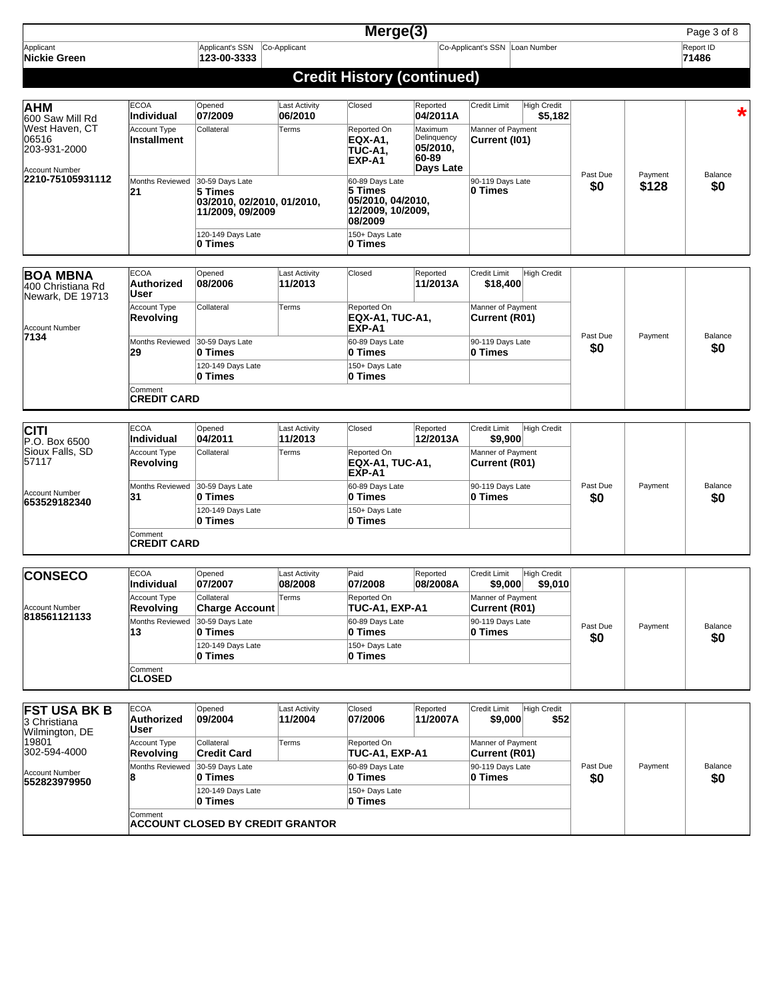|                                                           |                                          |                                                                              |                                          | Merge(3)                                                                        |                                                          |                                    |                               |                 |                  | Page 3 of 8        |
|-----------------------------------------------------------|------------------------------------------|------------------------------------------------------------------------------|------------------------------------------|---------------------------------------------------------------------------------|----------------------------------------------------------|------------------------------------|-------------------------------|-----------------|------------------|--------------------|
| Applicant<br><b>Nickie Green</b>                          |                                          | Applicant's SSN<br>123-00-3333                                               | Co-Applicant                             |                                                                                 |                                                          | Co-Applicant's SSN Loan Number     |                               |                 |                  | Report ID<br>71486 |
|                                                           |                                          |                                                                              |                                          | <b>Credit History (continued)</b>                                               |                                                          |                                    |                               |                 |                  |                    |
| <b>AHM</b><br>600 Saw Mill Rd                             | <b>ECOA</b><br><b>Individual</b>         | Opened<br>07/2009                                                            | <b>Last Activity</b><br>06/2010          | Closed                                                                          | Reported<br>04/2011A                                     | <b>Credit Limit</b>                | <b>High Credit</b><br>\$5,182 |                 |                  | *                  |
| West Haven, CT<br>06516<br>203-931-2000<br>Account Number | Account Type<br><b>Installment</b>       | Collateral                                                                   | Terms                                    | Reported On<br><b>EQX-A1,</b><br>TUC-A1,<br>EXP-A1                              | Maximum<br>Delinquency<br>05/2010.<br>60-89<br>Days Late | Manner of Payment<br>Current (101) |                               |                 |                  |                    |
| 2210-75105931112                                          | Months Reviewed<br>21                    | 30-59 Days Late<br>5 Times<br>03/2010, 02/2010, 01/2010,<br>11/2009, 09/2009 |                                          | 60-89 Days Late<br>5 Times<br>05/2010, 04/2010,<br>12/2009, 10/2009,<br>08/2009 |                                                          | 90-119 Days Late<br>0 Times        |                               | Past Due<br>\$0 | Payment<br>\$128 | Balance<br>\$0     |
|                                                           |                                          | 120-149 Days Late<br>0 Times                                                 |                                          | 150+ Days Late<br>0 Times                                                       |                                                          |                                    |                               |                 |                  |                    |
| <b>BOA MBNA</b><br>400 Christiana Rd<br>Newark. DE 19713  | <b>ECOA</b><br><b>Authorized</b><br>User | Opened<br>08/2006                                                            | <b>Last Activity</b><br>11/2013          | Closed                                                                          | Reported<br>11/2013A                                     | <b>Credit Limit</b><br>\$18,400    | <b>High Credit</b>            |                 |                  |                    |
| Account Number                                            | Account Type<br>Revolving                | Collateral                                                                   | Terms                                    | Reported On<br><b>EQX-A1, TUC-A1,</b><br>EXP-A1                                 |                                                          | Manner of Payment<br>Current (R01) |                               |                 |                  |                    |
| 7134                                                      | <b>Months Reviewed</b><br>29             | 30-59 Days Late<br>0 Times<br>120-149 Days Late<br>0 Times                   |                                          | 60-89 Days Late<br>0 Times<br>150+ Days Late<br>0 Times                         |                                                          | 90-119 Days Late<br>0 Times        |                               | Past Due<br>\$0 | Payment          | Balance<br>\$0     |
|                                                           | Comment<br>CREDIT CARD                   |                                                                              |                                          |                                                                                 |                                                          |                                    |                               |                 |                  |                    |
|                                                           | <b>ECOA</b>                              |                                                                              |                                          | Closed                                                                          | Reported                                                 | <b>Credit Limit</b>                | <b>High Credit</b>            |                 |                  |                    |
| <b>CITI</b><br>P.O. Box 6500<br>Sioux Falls, SD           | <b>Individual</b><br><b>Account Type</b> | Opened<br>04/2011<br>Collateral                                              | <b>Last Activity</b><br>11/2013<br>Terms | Reported On                                                                     | 12/2013A                                                 | \$9,900<br>Manner of Payment       |                               |                 |                  |                    |
| 57117                                                     | Revolving                                |                                                                              |                                          | <b>EQX-A1, TUC-A1,</b><br>EXP-A1                                                |                                                          | Current (R01)                      |                               |                 |                  |                    |
| Account Number<br>653529182340                            | Months Reviewed<br>31                    | 30-59 Days Late<br>0 Times                                                   |                                          | 60-89 Days Late<br>0 Times                                                      |                                                          | 90-119 Days Late<br>0 Times        |                               | Past Due<br>\$0 | Payment          | Balance<br>\$0     |
|                                                           |                                          | 120-149 Days Late<br>0 Times                                                 |                                          | 150+ Days Late<br>0 Times                                                       |                                                          |                                    |                               |                 |                  |                    |
|                                                           | Comment<br>CREDIT CARD                   |                                                                              |                                          |                                                                                 |                                                          |                                    |                               |                 |                  |                    |
| <b>CONSECO</b>                                            | <b>ECOA</b><br>Individual                | Opened<br>07/2007                                                            | <b>Last Activity</b><br>08/2008          | Paid<br>07/2008                                                                 | Reported<br>08/2008A                                     | <b>Credit Limit</b>                | <b>High Credit</b>            |                 |                  |                    |
|                                                           | Account Type                             | Collateral                                                                   | Terms                                    | Reported On                                                                     |                                                          | \$9,000<br>Manner of Payment       | \$9,010                       |                 |                  |                    |
| Account Number<br>818561121133                            | Revolving<br>Months Reviewed             | <b>Charge Account</b><br>30-59 Days Late                                     |                                          | TUC-A1, EXP-A1<br>60-89 Days Late                                               |                                                          | Current (R01)<br>90-119 Days Late  |                               | Past Due        | Payment          | Balance            |
|                                                           | 13                                       | 0 Times<br>120-149 Days Late                                                 |                                          | 0 Times<br>150+ Days Late                                                       |                                                          | 0 Times                            |                               | \$0             |                  | \$0                |
|                                                           | Comment                                  | 0 Times                                                                      |                                          | 0 Times                                                                         |                                                          |                                    |                               |                 |                  |                    |
|                                                           | <b>CLOSED</b>                            |                                                                              |                                          |                                                                                 |                                                          |                                    |                               |                 |                  |                    |
| <b>FST USA BK B</b><br>3 Christiana<br>Wilmington, DE     | <b>ECOA</b><br><b>Authorized</b><br>User | Opened<br>09/2004                                                            | <b>Last Activity</b><br>11/2004          | Closed<br>07/2006                                                               | Reported<br>11/2007A                                     | Credit Limit<br>\$9,000            | High Credit<br>\$52           |                 |                  |                    |
| 19801<br>302-594-4000                                     | Account Type<br>Revolving                | Collateral<br><b>Credit Card</b>                                             | Terms                                    | Reported On<br>TUC-A1, EXP-A1                                                   |                                                          | Manner of Payment<br>Current (R01) |                               |                 |                  |                    |
| <b>Account Number</b><br>552823979950                     | <b>Months Reviewed</b><br>8              | 30-59 Days Late<br>0 Times                                                   |                                          | 60-89 Days Late<br>0 Times                                                      |                                                          | 90-119 Days Late<br>0 Times        |                               | Past Due<br>\$0 | Payment          | Balance<br>\$0     |
|                                                           |                                          | 120-149 Days Late<br>0 Times                                                 |                                          | 150+ Days Late<br>0 Times                                                       |                                                          |                                    |                               |                 |                  |                    |
|                                                           | Comment                                  | <b>ACCOUNT CLOSED BY CREDIT GRANTOR</b>                                      |                                          |                                                                                 |                                                          |                                    |                               |                 |                  |                    |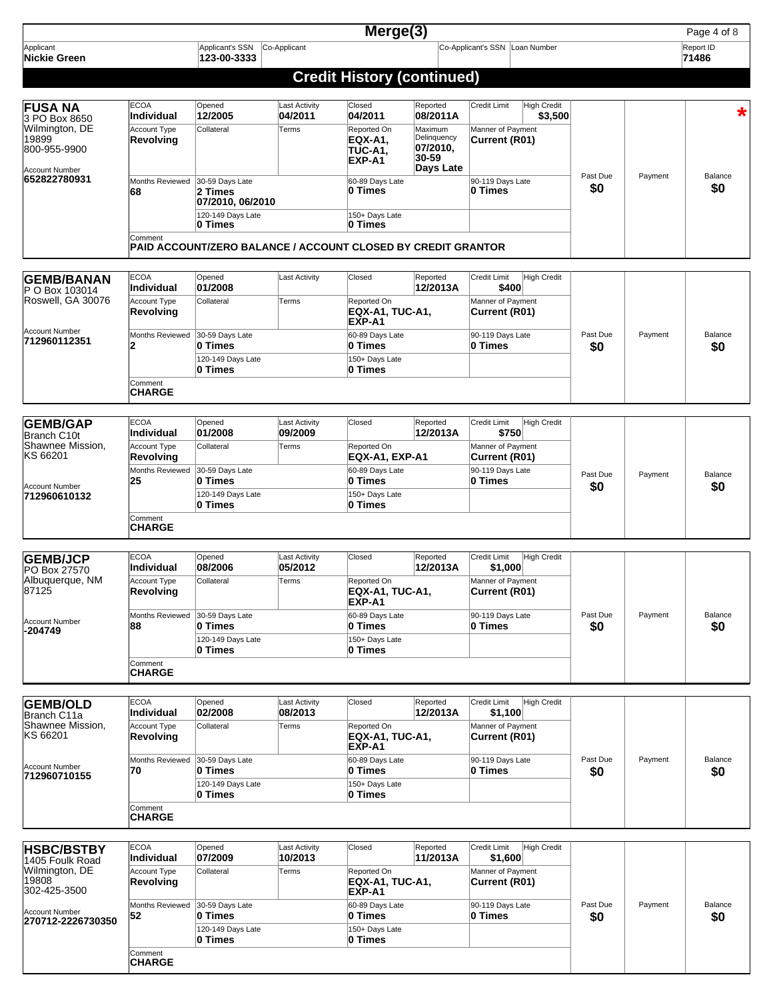|                                                                  |                                                                       |                                                  |                                 | Merge(3)                                                     |                                                          |                                                        |                 |         | Page 4 of 8        |
|------------------------------------------------------------------|-----------------------------------------------------------------------|--------------------------------------------------|---------------------------------|--------------------------------------------------------------|----------------------------------------------------------|--------------------------------------------------------|-----------------|---------|--------------------|
| Applicant<br><b>Nickie Green</b>                                 |                                                                       | Applicant's SSN<br>123-00-3333                   | Co-Applicant                    |                                                              |                                                          | Co-Applicant's SSN<br>Loan Number                      |                 |         | Report ID<br>71486 |
|                                                                  |                                                                       |                                                  |                                 | <b>Credit History (continued)</b>                            |                                                          |                                                        |                 |         |                    |
| <b>FUSA NA</b><br>3 PO Box 8650                                  | <b>ECOA</b><br>Individual                                             | Opened<br>12/2005                                | <b>Last Activity</b><br>04/2011 | Closed<br>04/2011                                            | Reported<br>08/2011A                                     | <b>High Credit</b><br><b>Credit Limit</b><br>\$3,500   |                 |         | *                  |
| Wilmington, DE<br>19899<br>800-955-9900<br><b>Account Number</b> | Account Type<br><b>Revolving</b>                                      | Collateral                                       | Terms                           | Reported On<br>EQX-A1,<br>TUC-A1,<br>EXP-A1                  | Maximum<br>Delinquency<br>07/2010,<br>30-59<br>Days Late | Manner of Payment<br>Current (R01)                     |                 |         |                    |
| 652822780931                                                     | Months Reviewed 30-59 Days Late<br>68                                 | 2 Times<br>07/2010, 06/2010<br>120-149 Days Late |                                 | 60-89 Days Late<br>0 Times<br>150+ Days Late                 |                                                          | 90-119 Days Late<br>0 Times                            | Past Due<br>\$0 | Payment | Balance<br>\$0     |
|                                                                  | Comment                                                               | 0 Times                                          |                                 | 0 Times                                                      |                                                          |                                                        |                 |         |                    |
|                                                                  |                                                                       |                                                  |                                 | PAID ACCOUNT/ZERO BALANCE / ACCOUNT CLOSED BY CREDIT GRANTOR |                                                          |                                                        |                 |         |                    |
| <b>GEMB/BANAN</b><br>P O Box 103014                              | <b>ECOA</b><br>Individual                                             | Opened<br>01/2008                                | <b>Last Activity</b>            | Closed                                                       | Reported<br>12/2013A                                     | <b>High Credit</b><br>Credit Limit<br>\$400            |                 |         |                    |
| Roswell, GA 30076                                                | <b>Account Type</b><br><b>Revolving</b>                               | Collateral                                       | Terms                           | Reported On<br><b>EQX-A1, TUC-A1,</b><br>EXP-A1              |                                                          | Manner of Payment<br>Current (R01)                     |                 |         |                    |
| <b>Account Number</b><br>712960112351                            | Months Reviewed 30-59 Days Late<br>12                                 | 0 Times<br>120-149 Days Late                     |                                 | 60-89 Days Late<br>0 Times<br>150+ Days Late                 |                                                          | 90-119 Days Late<br>0 Times                            | Past Due<br>\$0 | Payment | Balance<br>\$0     |
|                                                                  | Comment<br><b>CHARGE</b>                                              | 0 Times                                          |                                 | 0 Times                                                      |                                                          |                                                        |                 |         |                    |
| <b>GEMB/GAP</b><br>Branch C10t                                   | <b>ECOA</b><br><b>Individual</b>                                      | Opened<br>01/2008                                | <b>Last Activity</b><br>09/2009 | Closed                                                       | Reported<br>12/2013A                                     | <b>Credit Limit</b><br><b>High Credit</b><br>\$750     |                 |         |                    |
| Shawnee Mission,<br>KS 66201                                     | Account Type<br><b>Revolving</b><br>Months Reviewed                   | Collateral<br>30-59 Days Late                    | Terms                           | Reported On<br>EQX-A1, EXP-A1<br>60-89 Days Late             |                                                          | Manner of Payment<br>Current (R01)<br>90-119 Days Late |                 | Payment |                    |
| <b>Account Number</b><br>712960610132                            | 25                                                                    | 0 Times<br>120-149 Days Late<br>0 Times          |                                 | 0 Times<br>150+ Days Late<br>0 Times                         |                                                          | 0 Times                                                | Past Due<br>\$0 |         | Balance<br>\$0     |
|                                                                  | Comment<br><b>CHARGE</b>                                              |                                                  |                                 |                                                              |                                                          |                                                        |                 |         |                    |
| <b>GEMB/JCP</b><br>PO Box 27570                                  | <b>ECOA</b><br>Individual                                             | Opened<br>08/2006                                | <b>Last Activity</b><br>05/2012 | Closed                                                       | Reported<br>12/2013A                                     | Credit Limit<br><b>High Credit</b><br>\$1,000          |                 |         |                    |
| Albuquerque, NM<br>87125                                         | Account Type<br>Revolving                                             | Collateral                                       | Terms                           | Reported On<br><b>EQX-A1, TUC-A1,</b><br>EXP-A1              |                                                          | Manner of Payment<br>Current (R01)                     |                 |         |                    |
| <b>Account Number</b><br>-204749                                 | Months Reviewed 30-59 Days Late<br>88                                 | 0 Times<br>120-149 Days Late<br>0 Times          |                                 | 60-89 Days Late<br>0 Times<br>150+ Days Late<br>0 Times      |                                                          | 90-119 Days Late<br>0 Times                            | Past Due<br>\$0 | Payment | Balance<br>\$0     |
|                                                                  | Comment<br><b>CHARGE</b>                                              |                                                  |                                 |                                                              |                                                          |                                                        |                 |         |                    |
| <b>GEMB/OLD</b><br>Branch C11a                                   | <b>ECOA</b><br>Individual                                             | Opened<br>02/2008                                | <b>Last Activity</b><br>08/2013 | Closed                                                       | Reported<br>12/2013A                                     | Credit Limit<br><b>High Credit</b><br>\$1,100          |                 |         |                    |
| Shawnee Mission,<br>KS 66201                                     | Account Type<br><b>Revolving</b>                                      | Collateral                                       | Terms                           | Reported On<br>EQX-A1, TUC-A1,<br>EXP-A1                     |                                                          | Manner of Payment<br>Current (R01)                     |                 |         |                    |
| <b>Account Number</b><br>712960710155                            | Months Reviewed 30-59 Days Late<br>70                                 | 0 Times<br>120-149 Days Late                     |                                 | 60-89 Days Late<br>0 Times<br>150+ Days Late                 |                                                          | 90-119 Days Late<br>0 Times                            | Past Due<br>\$0 | Payment | Balance<br>\$0     |
|                                                                  | Comment                                                               | 0 Times                                          |                                 | 0 Times                                                      |                                                          |                                                        |                 |         |                    |
|                                                                  | <b>CHARGE</b>                                                         |                                                  |                                 |                                                              |                                                          |                                                        |                 |         |                    |
| <b>HSBC/BSTBY</b><br>1405 Foulk Road<br>Wilmington, DE           | <b>ECOA</b><br>Individual                                             | Opened<br>07/2009                                | Last Activity<br>10/2013        | Closed                                                       | Reported<br>11/2013A                                     | <b>High Credit</b><br>Credit Limit<br>\$1,600          |                 |         |                    |
| 19808<br>302-425-3500                                            | Account Type<br>Revolving                                             | Collateral                                       | Terms                           | Reported On<br>EQX-A1, TUC-A1,<br>EXP-A1                     |                                                          | Manner of Payment<br>Current (R01)<br>90-119 Days Late |                 |         |                    |
| <b>Account Number</b><br>270712-2226730350                       | Months Reviewed 30-59 Days Late<br>52<br>0 Times<br>120-149 Days Late |                                                  |                                 | 60-89 Days Late<br>0 Times<br>150+ Days Late<br>0 Times      | Past Due<br>\$0                                          | Payment                                                | Balance<br>\$0  |         |                    |
|                                                                  | Comment<br><b>CHARGE</b>                                              | 0 Times                                          |                                 |                                                              |                                                          |                                                        |                 |         |                    |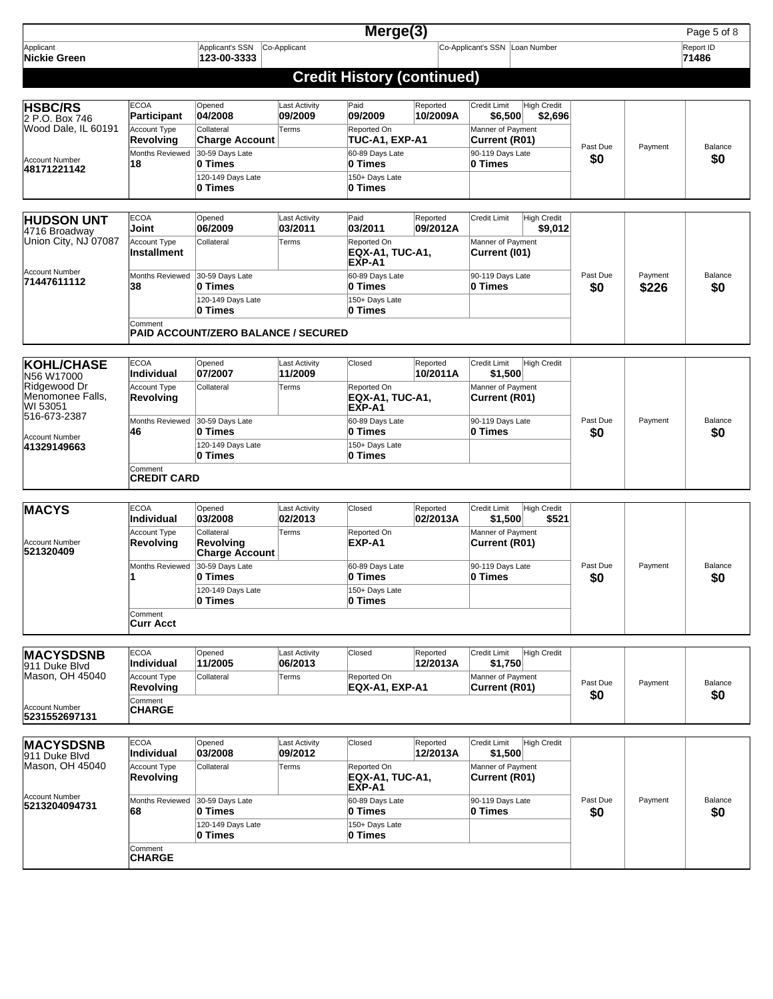|                                                                                                 |                                                                                  |                                                                                                             |                                          | Merge(3)                                                                                         |                      |                                                                                                                                      |                 |                  | Page 5 of 8        |
|-------------------------------------------------------------------------------------------------|----------------------------------------------------------------------------------|-------------------------------------------------------------------------------------------------------------|------------------------------------------|--------------------------------------------------------------------------------------------------|----------------------|--------------------------------------------------------------------------------------------------------------------------------------|-----------------|------------------|--------------------|
| Applicant<br><b>Nickie Green</b>                                                                |                                                                                  | Applicant's SSN<br>123-00-3333                                                                              | Co-Applicant                             |                                                                                                  |                      | Co-Applicant's SSN Loan Number                                                                                                       |                 |                  | Report ID<br>71486 |
|                                                                                                 |                                                                                  |                                                                                                             |                                          | <b>Credit History (continued)</b>                                                                |                      |                                                                                                                                      |                 |                  |                    |
| <b>HSBC/RS</b><br>2 P.O. Box 746<br>Wood Dale, IL 60191<br><b>Account Number</b><br>48171221142 | <b>ECOA</b><br>Participant<br>Account Type<br>Revolving<br>Months Reviewed<br>18 | Opened<br>04/2008<br>Collateral<br><b>Charge Account</b><br>30-59 Days Late<br>0 Times<br>120-149 Days Late | <b>Last Activity</b><br>09/2009<br>Terms | Paid<br>09/2009<br>Reported On<br>TUC-A1, EXP-A1<br>60-89 Days Late<br>0 Times<br>150+ Days Late | Reported<br>10/2009A | <b>Credit Limit</b><br><b>High Credit</b><br>\$6.500<br>\$2,696<br>Manner of Payment<br>Current (R01)<br>90-119 Days Late<br>0 Times | Past Due<br>\$0 | Payment          | Balance<br>\$0     |
|                                                                                                 |                                                                                  | 0 Times                                                                                                     |                                          | 0 Times                                                                                          |                      |                                                                                                                                      |                 |                  |                    |
| <b>HUDSON UNT</b><br>4716 Broadway<br>Union City, NJ 07087                                      | <b>ECOA</b><br>Joint<br>Account Type<br><b>Installment</b>                       | Opened<br>06/2009<br>Collateral                                                                             | <b>Last Activity</b><br>03/2011<br>Terms | Paid<br>03/2011<br>Reported On<br>EQX-A1, TUC-A1,<br>EXP-A1                                      | Reported<br>09/2012A | <b>Credit Limit</b><br><b>High Credit</b><br>\$9,012<br>Manner of Payment<br>Current (101)                                           |                 |                  |                    |
| <b>Account Number</b><br>71447611112                                                            | Months Reviewed<br>38                                                            | 30-59 Days Late<br>0 Times<br>120-149 Days Late<br>0 Times                                                  |                                          | 60-89 Days Late<br>0 Times<br>150+ Days Late<br>0 Times                                          |                      | 90-119 Days Late<br>0 Times                                                                                                          | Past Due<br>\$0 | Payment<br>\$226 | Balance<br>\$0     |
|                                                                                                 | Comment                                                                          | <b>PAID ACCOUNT/ZERO BALANCE / SECURED</b>                                                                  |                                          |                                                                                                  |                      |                                                                                                                                      |                 |                  |                    |
| <b>KOHL/CHASE</b><br>N56 W17000                                                                 | <b>ECOA</b><br>Individual                                                        | Opened<br>07/2007                                                                                           | <b>Last Activity</b><br>11/2009          | Closed                                                                                           | Reported<br>10/2011A | <b>Credit Limit</b><br><b>High Credit</b><br>\$1,500                                                                                 |                 |                  |                    |
| Ridgewood Dr<br>Menomonee Falls,<br>WI 53051<br>516-673-2387                                    | Account Type<br>Revolving                                                        | Collateral                                                                                                  | Terms                                    | Reported On<br>EQX-A1, TUC-A1,<br>EXP-A1                                                         |                      | Manner of Payment<br>Current (R01)                                                                                                   |                 |                  |                    |
| <b>Account Number</b><br>41329149663                                                            | Months Reviewed<br>46                                                            | 30-59 Days Late<br>0 Times<br>120-149 Days Late                                                             |                                          | 60-89 Days Late<br>0 Times<br>150+ Days Late                                                     |                      | 90-119 Days Late<br>0 Times                                                                                                          | Past Due<br>\$0 | Payment          | Balance<br>\$0     |
|                                                                                                 | Comment                                                                          | 0 Times                                                                                                     |                                          | 0 Times                                                                                          |                      |                                                                                                                                      |                 |                  |                    |
|                                                                                                 | <b>CREDIT CARD</b>                                                               |                                                                                                             |                                          |                                                                                                  |                      |                                                                                                                                      |                 |                  |                    |
| <b>MACYS</b>                                                                                    | <b>ECOA</b><br>Individual                                                        | Opened<br>03/2008                                                                                           | <b>Last Activity</b><br>02/2013          | Closed                                                                                           | Reported<br>02/2013A | <b>Credit Limit</b><br><b>High Credit</b><br>\$1,500<br>\$521                                                                        |                 |                  |                    |
| <b>Account Number</b><br>521320409                                                              | <b>Account Type</b><br>Revolving                                                 | Collateral<br>Revolving<br><b>Charge Account</b>                                                            | Terms                                    | Reported On<br>EXP-A1                                                                            |                      | Manner of Payment<br>Current (R01)                                                                                                   |                 |                  |                    |
|                                                                                                 | Months Reviewed<br>1                                                             | 30-59 Days Late<br>0 Times                                                                                  |                                          | 60-89 Days Late<br>0 Times                                                                       |                      | 90-119 Days Late<br>0 Times                                                                                                          | Past Due<br>\$0 | Payment          | Balance<br>\$0     |
|                                                                                                 | Comment                                                                          | 120-149 Days Late<br>0 Times                                                                                |                                          | 150+ Days Late<br>0 Times                                                                        |                      |                                                                                                                                      |                 |                  |                    |
|                                                                                                 | <b>Curr Acct</b>                                                                 |                                                                                                             |                                          |                                                                                                  |                      |                                                                                                                                      |                 |                  |                    |
| <b>MACYSDSNB</b><br>911 Duke Blvd                                                               | <b>ECOA</b><br>Individual                                                        | Opened<br>11/2005                                                                                           | <b>Last Activity</b><br>06/2013          | Closed                                                                                           | Reported<br>12/2013A | Credit Limit<br><b>High Credit</b><br>\$1,750                                                                                        |                 |                  |                    |
| Mason, OH 45040                                                                                 | Account Type<br>Revolving<br>Comment                                             | Collateral                                                                                                  | Terms                                    | Reported On<br>EQX-A1, EXP-A1                                                                    |                      | Manner of Payment<br>Current (R01)                                                                                                   | Past Due<br>\$0 | Payment          | Balance<br>\$0     |
| <b>Account Number</b><br>5231552697131                                                          | <b>CHARGE</b>                                                                    |                                                                                                             |                                          |                                                                                                  |                      |                                                                                                                                      |                 |                  |                    |
| <b>MACYSDSNB</b><br>911 Duke Blvd                                                               | <b>ECOA</b><br>Individual                                                        | Opened<br>03/2008                                                                                           | <b>Last Activity</b><br>09/2012          | Closed                                                                                           | Reported<br>12/2013A | Credit Limit<br><b>High Credit</b><br>\$1,500                                                                                        |                 |                  |                    |
| Mason, OH 45040                                                                                 | Account Type<br>Revolving                                                        | Collateral                                                                                                  | Terms                                    | Reported On<br>EQX-A1, TUC-A1,<br>EXP-A1                                                         |                      | Manner of Payment<br>Current (R01)                                                                                                   |                 |                  |                    |
| <b>Account Number</b><br>5213204094731                                                          | 68                                                                               | Months Reviewed 30-59 Days Late<br>0 Times                                                                  |                                          | 60-89 Days Late<br>90-119 Days Late<br>0 Times<br>0 Times                                        |                      |                                                                                                                                      | Past Due<br>\$0 | Payment          | Balance<br>\$0     |
|                                                                                                 | Comment                                                                          | 120-149 Days Late<br>0 Times                                                                                |                                          | 150+ Days Late<br>0 Times                                                                        |                      |                                                                                                                                      |                 |                  |                    |
|                                                                                                 | <b>CHARGE</b>                                                                    |                                                                                                             |                                          |                                                                                                  |                      |                                                                                                                                      |                 |                  |                    |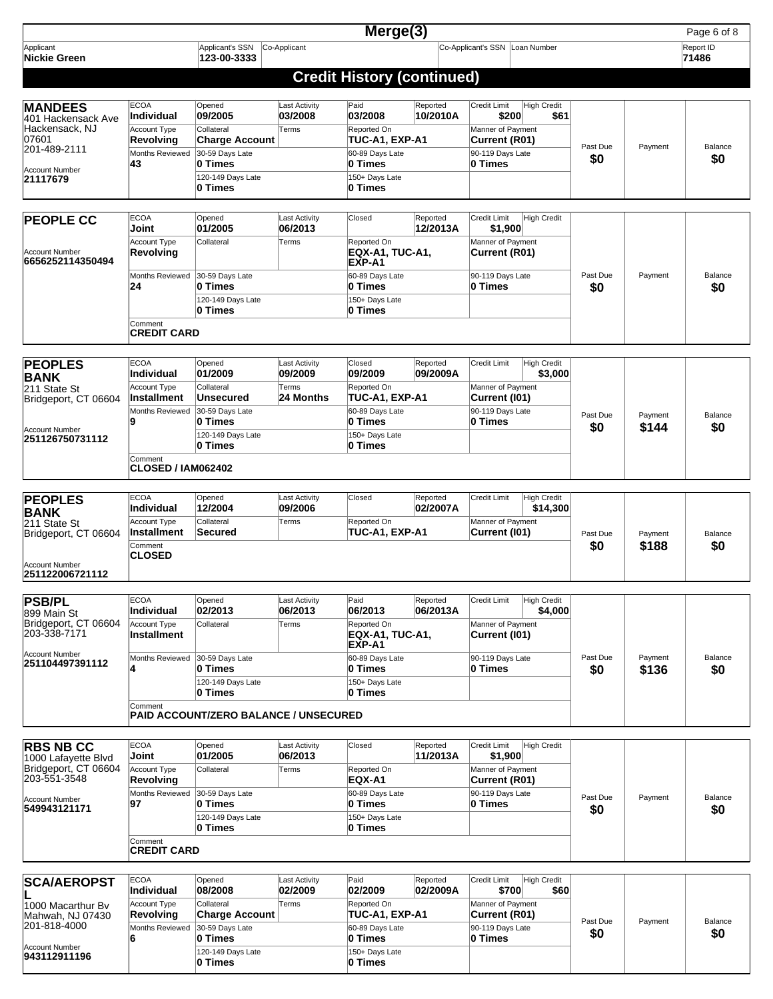|                                                        |                                                  |                                              |                                          | Merge(3)                                            |                      |                                            |                            |                 |                  | Page 6 of 8        |
|--------------------------------------------------------|--------------------------------------------------|----------------------------------------------|------------------------------------------|-----------------------------------------------------|----------------------|--------------------------------------------|----------------------------|-----------------|------------------|--------------------|
| Applicant<br><b>Nickie Green</b>                       |                                                  | Applicant's SSN<br>123-00-3333               | Co-Applicant                             |                                                     |                      | Co-Applicant's SSN Loan Number             |                            |                 |                  | Report ID<br>71486 |
|                                                        |                                                  |                                              |                                          | <b>Credit History (continued)</b>                   |                      |                                            |                            |                 |                  |                    |
|                                                        |                                                  |                                              |                                          |                                                     |                      |                                            |                            |                 |                  |                    |
| <b>MANDEES</b><br>401 Hackensack Ave<br>Hackensack, NJ | <b>ECOA</b><br>Individual<br><b>Account Type</b> | Opened<br>09/2005<br>Collateral              | <b>Last Activity</b><br>03/2008<br>Terms | Paid<br>03/2008<br>Reported On                      | Reported<br>10/2010A | Credit Limit<br>\$200<br>Manner of Payment | <b>High Credit</b><br>\$61 |                 |                  |                    |
| 07601<br>201-489-2111                                  | Revolving<br>Months Reviewed                     | <b>Charge Account</b><br>30-59 Days Late     |                                          | TUC-A1, EXP-A1<br>60-89 Days Late                   |                      | Current (R01)<br>90-119 Days Late          |                            | Past Due        | Payment          | Balance            |
| <b>Account Number</b>                                  | 43                                               | 0 Times<br>120-149 Days Late                 |                                          | 0 Times<br>150+ Days Late                           |                      | 0 Times                                    |                            | \$0             |                  | \$0                |
| 21117679                                               |                                                  | 0 Times                                      |                                          | 0 Times                                             |                      |                                            |                            |                 |                  |                    |
| <b>PEOPLE CC</b>                                       | <b>ECOA</b>                                      | Opened                                       | <b>Last Activity</b>                     | Closed                                              | Reported             | Credit Limit                               | <b>High Credit</b>         |                 |                  |                    |
|                                                        | Joint<br><b>Account Type</b>                     | 01/2005<br>Collateral                        | 06/2013<br>Terms                         | Reported On                                         | 12/2013A             | \$1,900<br>Manner of Payment               |                            |                 |                  |                    |
| <b>Account Number</b><br>6656252114350494              | Revolving<br>Months Reviewed                     | 30-59 Days Late                              |                                          | <b>EQX-A1, TUC-A1,</b><br>EXP-A1<br>60-89 Days Late |                      | Current (R01)<br>90-119 Days Late          |                            | Past Due        | Payment          | Balance            |
|                                                        | 24                                               | 0 Times                                      |                                          | 0 Times                                             |                      | 0 Times                                    |                            | \$0             |                  | \$0                |
|                                                        |                                                  | 120-149 Days Late<br>0 Times                 |                                          | 150+ Days Late<br>0 Times                           |                      |                                            |                            |                 |                  |                    |
|                                                        | Comment<br><b>CREDIT CARD</b>                    |                                              |                                          |                                                     |                      |                                            |                            |                 |                  |                    |
| <b>PEOPLES</b>                                         | <b>ECOA</b>                                      | Opened                                       | <b>Last Activity</b>                     | Closed                                              | Reported             | Credit Limit                               | <b>High Credit</b>         |                 |                  |                    |
| <b>BANK</b><br>211 State St                            | Individual<br><b>Account Type</b>                | 01/2009<br>Collateral                        | 09/2009<br>Terms                         | 09/2009<br>Reported On                              | 09/2009A             | Manner of Payment                          | \$3.000                    |                 |                  |                    |
| Bridgeport, CT 06604                                   | Installment<br>Months Reviewed                   | Unsecured<br>30-59 Days Late                 | 24 Months                                | TUC-A1, EXP-A1<br>60-89 Days Late                   |                      | Current (I01)<br>90-119 Days Late          |                            |                 |                  |                    |
| <b>Account Number</b>                                  | 9                                                | 0 Times<br>120-149 Days Late                 |                                          | 0 Times<br>150+ Days Late                           |                      | 0 Times                                    |                            | Past Due<br>\$0 | Payment<br>\$144 | Balance<br>\$0     |
| 251126750731112                                        | Comment                                          | 0 Times                                      |                                          | 0 Times                                             |                      |                                            |                            |                 |                  |                    |
|                                                        | <b>CLOSED / IAM062402</b>                        |                                              |                                          |                                                     |                      |                                            |                            |                 |                  |                    |
| <b>PEOPLES</b>                                         | <b>ECOA</b><br>Individual                        | Opened<br>12/2004                            | <b>Last Activity</b><br>09/2006          | Closed                                              | Reported<br>02/2007A | Credit Limit                               | <b>High Credit</b>         |                 |                  |                    |
| <b>BANK</b><br>211 State St                            | <b>Account Type</b>                              | Collateral                                   | Terms                                    | Reported On                                         |                      | Manner of Payment                          | \$14,300                   |                 |                  |                    |
| Bridgeport, CT 06604                                   | <b>Installment</b><br>Comment                    | <b>Secured</b>                               |                                          | TUC-A1, EXP-A1                                      |                      | Current (I01)                              |                            | Past Due<br>\$0 | Payment<br>\$188 | Balance<br>\$0     |
| <b>Account Number</b><br>251122006721112               | <b>CLOSED</b>                                    |                                              |                                          |                                                     |                      |                                            |                            |                 |                  |                    |
| <b>PSB/PL</b>                                          | ECOA                                             | Opened                                       | <b>Last Activity</b>                     | Paid                                                | Reported             | Credit Limit                               | <b>High Credit</b>         |                 |                  |                    |
| 899 Main St<br>Bridgeport, CT 06604                    | <b>Individual</b><br><b>Account Type</b>         | 02/2013<br>Collateral                        | 06/2013<br>Terms                         | 06/2013<br>Reported On                              | 06/2013A             | Manner of Payment                          | \$4,000                    |                 |                  |                    |
| 203-338-7171<br><b>Account Number</b>                  | <b>Installment</b>                               |                                              |                                          | <b>EQX-A1, TUC-A1,</b><br>EXP-A1                    |                      | Current (I01)                              |                            |                 |                  |                    |
| 251104497391112                                        | Months Reviewed<br>4                             | 30-59 Days Late<br>0 Times                   |                                          | 60-89 Days Late<br>0 Times                          |                      | 90-119 Days Late<br>0 Times                |                            | Past Due<br>\$0 | Payment<br>\$136 | Balance<br>\$0     |
|                                                        |                                                  | 120-149 Days Late<br>0 Times                 |                                          | 150+ Days Late<br>0 Times                           |                      |                                            |                            |                 |                  |                    |
|                                                        | Comment                                          | <b>PAID ACCOUNT/ZERO BALANCE / UNSECURED</b> |                                          |                                                     |                      |                                            |                            |                 |                  |                    |
| <b>RBS NB CC</b>                                       | ECOA                                             | Opened<br>01/2005                            | <b>Last Activity</b>                     | Closed                                              | Reported             | Credit Limit                               | <b>High Credit</b>         |                 |                  |                    |
| 1000 Lafayette Blvd<br>Bridgeport, CT 06604            | Joint<br>Account Type                            | Collateral                                   | 06/2013<br>Terms                         | Reported On                                         | 11/2013A             | \$1,900<br>Manner of Payment               |                            |                 |                  |                    |
| 203-551-3548<br><b>Account Number</b>                  | Revolving<br>Months Reviewed                     | 30-59 Days Late                              |                                          | EQX-A1<br>60-89 Days Late                           |                      | Current (R01)<br>90-119 Days Late          |                            | Past Due        | Payment          | Balance            |
| 549943121171                                           | 97                                               | 0 Times<br>120-149 Days Late                 |                                          | 0 Times<br>150+ Days Late                           |                      | 0 Times                                    |                            | \$0             |                  | \$0                |
|                                                        | Comment                                          | 0 Times                                      |                                          | 0 Times                                             |                      |                                            |                            |                 |                  |                    |
|                                                        | <b>CREDIT CARD</b>                               |                                              |                                          |                                                     |                      |                                            |                            |                 |                  |                    |
| <b>SCA/AEROPST</b>                                     | ECOA<br><b>Individual</b>                        | Opened<br>08/2008                            | <b>Last Activity</b><br>02/2009          | Paid<br>02/2009                                     | Reported<br>02/2009A | Credit Limit<br>\$700                      | High Credit<br>\$60        |                 |                  |                    |
| 1000 Macarthur Bv<br>Mahwah, NJ 07430                  | <b>Account Type</b><br>Revolving                 | Collateral<br><b>Charge Account</b>          | Terms                                    | Reported On<br>TUC-A1, EXP-A1                       |                      | Manner of Payment<br>Current (R01)         |                            |                 |                  |                    |
| 201-818-4000                                           | Months Reviewed<br>6                             | 30-59 Days Late<br>0 Times                   |                                          | 60-89 Days Late<br>0 Times                          |                      | 90-119 Days Late<br>0 Times                |                            | Past Due<br>\$0 | Payment          | Balance<br>\$0     |
| <b>Account Number</b><br>943112911196                  |                                                  | 120-149 Days Late<br>0 Times                 | 150+ Days Late                           |                                                     |                      |                                            |                            |                 |                  |                    |
|                                                        |                                                  |                                              | 0 Times                                  |                                                     |                      |                                            |                            |                 |                  |                    |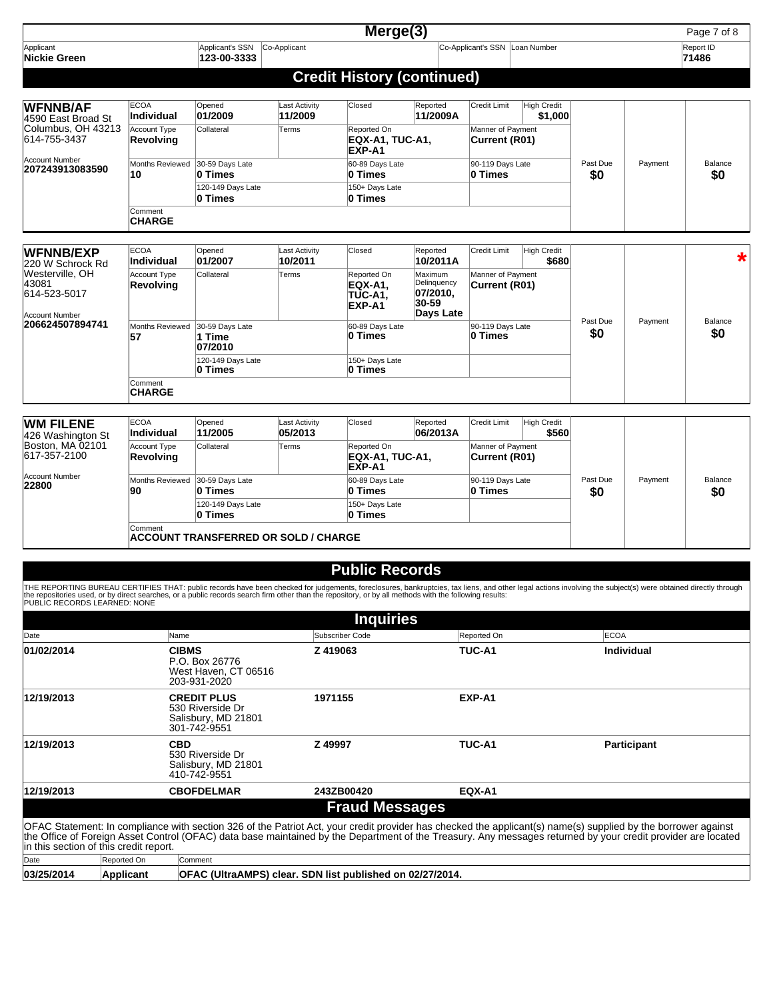|                                                                                                                                                                                                                                                                                                                                                                                                        |                                                               |                                                                               |                                          | Merge(3)                                           |                                                          |                                                           |                               |                 |                    | Page 7 of 8        |
|--------------------------------------------------------------------------------------------------------------------------------------------------------------------------------------------------------------------------------------------------------------------------------------------------------------------------------------------------------------------------------------------------------|---------------------------------------------------------------|-------------------------------------------------------------------------------|------------------------------------------|----------------------------------------------------|----------------------------------------------------------|-----------------------------------------------------------|-------------------------------|-----------------|--------------------|--------------------|
| Applicant<br><b>Nickie Green</b>                                                                                                                                                                                                                                                                                                                                                                       |                                                               | Applicant's SSN<br>123-00-3333                                                | Co-Applicant                             |                                                    |                                                          | Co-Applicant's SSN Loan Number                            |                               |                 |                    | Report ID<br>71486 |
|                                                                                                                                                                                                                                                                                                                                                                                                        |                                                               |                                                                               |                                          | <b>Credit History (continued)</b>                  |                                                          |                                                           |                               |                 |                    |                    |
| <b>WFNNB/AF</b><br>4590 East Broad St<br>Columbus, OH 43213<br>614-755-3437                                                                                                                                                                                                                                                                                                                            | <b>ECOA</b><br><b>Individual</b><br>Account Type<br>Revolving | Opened<br>01/2009<br>Collateral                                               | <b>Last Activity</b><br>11/2009<br>Terms | Closed<br>Reported On<br>EQX-A1, TUC-A1,<br>EXP-A1 | Reported<br>11/2009A                                     | <b>Credit Limit</b><br>Manner of Payment<br>Current (R01) | <b>High Credit</b><br>\$1,000 |                 |                    |                    |
| <b>Account Number</b><br>207243913083590                                                                                                                                                                                                                                                                                                                                                               | Months Reviewed<br>10                                         | 30-59 Days Late<br>0 Times                                                    |                                          | 60-89 Days Late<br>0 Times                         |                                                          | 90-119 Days Late<br>0 Times                               |                               | Past Due<br>\$0 | Payment            | Balance<br>\$0     |
|                                                                                                                                                                                                                                                                                                                                                                                                        |                                                               | 120-149 Days Late<br>0 Times                                                  |                                          | 150+ Days Late<br>0 Times                          |                                                          |                                                           |                               |                 |                    |                    |
|                                                                                                                                                                                                                                                                                                                                                                                                        | Comment<br><b>CHARGE</b>                                      |                                                                               |                                          |                                                    |                                                          |                                                           |                               |                 |                    |                    |
| <b>WFNNB/EXP</b><br>220 W Schrock Rd                                                                                                                                                                                                                                                                                                                                                                   | <b>ECOA</b><br><b>Individual</b>                              | Opened<br>01/2007                                                             | <b>Last Activity</b><br>10/2011          | Closed                                             | Reported<br>10/2011A                                     | <b>Credit Limit</b>                                       | <b>High Credit</b><br>\$680   |                 |                    | *                  |
| Westerville, OH<br>43081<br>614-523-5017<br><b>Account Number</b>                                                                                                                                                                                                                                                                                                                                      | Account Type<br>Revolving                                     | Collateral                                                                    | Terms                                    | Reported On<br><b>EQX-A1,</b><br>TUC-A1.<br>EXP-A1 | Maximum<br>Delinquency<br>07/2010,<br>30-59<br>Days Late | Manner of Payment<br>Current (R01)                        |                               |                 |                    |                    |
| 206624507894741                                                                                                                                                                                                                                                                                                                                                                                        | Months Reviewed<br>57                                         | 30-59 Days Late<br>1 Time<br>07/2010                                          |                                          | 60-89 Davs Late<br>0 Times                         |                                                          | 90-119 Days Late<br>0 Times                               |                               | Past Due<br>\$0 | Payment            | Balance<br>\$0     |
|                                                                                                                                                                                                                                                                                                                                                                                                        |                                                               | 120-149 Days Late<br>0 Times                                                  |                                          | 150+ Days Late<br>0 Times                          |                                                          |                                                           |                               |                 |                    |                    |
|                                                                                                                                                                                                                                                                                                                                                                                                        | Comment<br><b>CHARGE</b>                                      |                                                                               |                                          |                                                    |                                                          |                                                           |                               |                 |                    |                    |
| <b>WM FILENE</b><br>426 Washington St                                                                                                                                                                                                                                                                                                                                                                  | <b>ECOA</b><br><b>Individual</b>                              | Opened<br>11/2005                                                             | <b>Last Activity</b><br>05/2013          | Closed                                             | Reported<br>06/2013A                                     | <b>Credit Limit</b>                                       | <b>High Credit</b><br>\$560   |                 |                    |                    |
| Boston, MA 02101<br>617-357-2100                                                                                                                                                                                                                                                                                                                                                                       | Account Type<br>Revolving                                     | Collateral                                                                    | Terms                                    | Reported On<br><b>EQX-A1, TUC-A1,</b><br>EXP-A1    |                                                          | Manner of Payment<br>Current (R01)                        |                               |                 | Payment            |                    |
| <b>Account Number</b><br>22800                                                                                                                                                                                                                                                                                                                                                                         | Months Reviewed<br>90                                         | 30-59 Days Late<br>0 Times                                                    |                                          | 60-89 Days Late<br>0 Times                         |                                                          | 90-119 Days Late<br>0 Times                               |                               | Past Due<br>\$0 |                    | Balance<br>\$0     |
|                                                                                                                                                                                                                                                                                                                                                                                                        |                                                               | 120-149 Days Late<br>0 Times                                                  |                                          | 150+ Days Late<br>0 Times                          |                                                          |                                                           |                               |                 |                    |                    |
|                                                                                                                                                                                                                                                                                                                                                                                                        | Comment                                                       | <b>ACCOUNT TRANSFERRED OR SOLD / CHARGE</b>                                   |                                          |                                                    |                                                          |                                                           |                               |                 |                    |                    |
|                                                                                                                                                                                                                                                                                                                                                                                                        |                                                               |                                                                               |                                          | <b>Public Records</b>                              |                                                          |                                                           |                               |                 |                    |                    |
| THE REPORTING BUREAU CERTIFIES THAT: public records have been checked for judgements, foreclosures, bankruptcies, tax liens, and other legal actions involving the subject(s) were obtained directly through<br>the repositories used, or by direct searches, or a public records search firm other than the repository, or by all methods with the following results:<br>PUBLIC RECORDS LEARNED: NONE |                                                               |                                                                               |                                          |                                                    |                                                          |                                                           |                               |                 |                    |                    |
|                                                                                                                                                                                                                                                                                                                                                                                                        |                                                               |                                                                               |                                          | <b>Inquiries</b>                                   |                                                          |                                                           |                               |                 |                    |                    |
| Date<br>01/02/2014                                                                                                                                                                                                                                                                                                                                                                                     | Name<br><b>CIBMS</b>                                          | P.O. Box 26776<br>West Haven, CT 06516<br>203-931-2020                        | Z 419063                                 | Subscriber Code                                    |                                                          | Reported On<br><b>TUC-A1</b>                              |                               | <b>ECOA</b>     | <b>Individual</b>  |                    |
| 12/19/2013                                                                                                                                                                                                                                                                                                                                                                                             |                                                               | <b>CREDIT PLUS</b><br>530 Riverside Dr<br>Salisbury, MD 21801<br>301-742-9551 | 1971155                                  |                                                    |                                                          | EXP-A1                                                    |                               |                 |                    |                    |
| 12/19/2013                                                                                                                                                                                                                                                                                                                                                                                             | <b>CBD</b>                                                    | 530 Riverside Dr<br>Salisbury, MD 21801<br>410-742-9551                       | Z 49997                                  |                                                    |                                                          | TUC-A1                                                    |                               |                 | <b>Participant</b> |                    |
| 12/19/2013                                                                                                                                                                                                                                                                                                                                                                                             |                                                               | <b>CBOFDELMAR</b>                                                             |                                          | 243ZB00420                                         |                                                          | EQX-A1                                                    |                               |                 |                    |                    |
| OFAC Statement: In compliance with section 326 of the Patriot Act, your credit provider has checked the applicant(s) name(s) supplied by the borrower against<br>the Office of Foreign Asset Control (OFAC) data base maintained by the Department of the Treasury. Any messages returned by your credit provider are located<br>in this section of this credit report.                                |                                                               |                                                                               |                                          | <b>Fraud Messages</b>                              |                                                          |                                                           |                               |                 |                    |                    |
| Date                                                                                                                                                                                                                                                                                                                                                                                                   | Reported On                                                   | Comment                                                                       |                                          |                                                    |                                                          |                                                           |                               |                 |                    |                    |
| 03/25/2014                                                                                                                                                                                                                                                                                                                                                                                             | Applicant                                                     | OFAC (UltraAMPS) clear. SDN list published on 02/27/2014.                     |                                          |                                                    |                                                          |                                                           |                               |                 |                    |                    |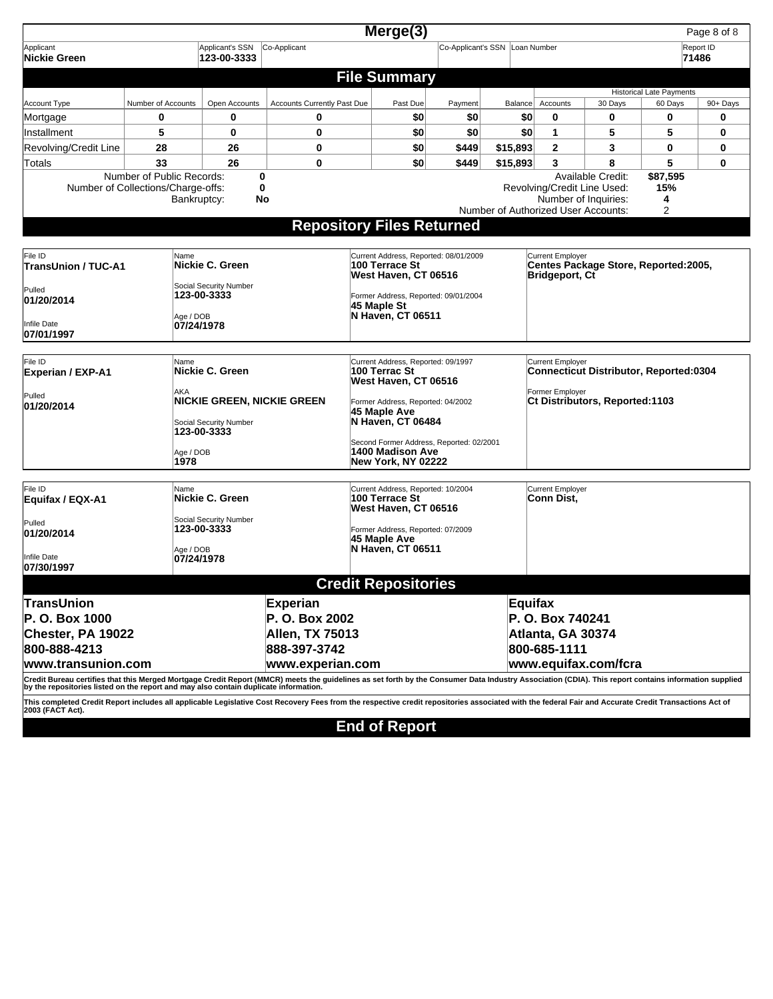|                                                                                                |                                                                                |                                                                                               |                                                                                                                                                                                                      | Merge(3)                                                                                                                                                                                                                                           |                |                                |                                                                         |                                                                                        |                                 | Page 8 of 8        |
|------------------------------------------------------------------------------------------------|--------------------------------------------------------------------------------|-----------------------------------------------------------------------------------------------|------------------------------------------------------------------------------------------------------------------------------------------------------------------------------------------------------|----------------------------------------------------------------------------------------------------------------------------------------------------------------------------------------------------------------------------------------------------|----------------|--------------------------------|-------------------------------------------------------------------------|----------------------------------------------------------------------------------------|---------------------------------|--------------------|
| Applicant<br><b>Nickie Green</b>                                                               |                                                                                | Applicant's SSN<br>123-00-3333                                                                | Co-Applicant                                                                                                                                                                                         |                                                                                                                                                                                                                                                    |                | Co-Applicant's SSN Loan Number |                                                                         |                                                                                        |                                 | Report ID<br>71486 |
|                                                                                                |                                                                                |                                                                                               |                                                                                                                                                                                                      | <b>File Summary</b>                                                                                                                                                                                                                                |                |                                |                                                                         |                                                                                        |                                 |                    |
|                                                                                                | Number of Accounts                                                             |                                                                                               |                                                                                                                                                                                                      | Past Due                                                                                                                                                                                                                                           |                |                                |                                                                         |                                                                                        | <b>Historical Late Payments</b> | 90+ Days           |
| <b>Account Type</b><br>Mortgage                                                                | 0                                                                              | Open Accounts<br>0                                                                            | <b>Accounts Currently Past Due</b><br>0                                                                                                                                                              | \$0                                                                                                                                                                                                                                                | Payment<br>\$0 | Balance<br>\$0                 | Accounts<br>0                                                           | 30 Days<br>0                                                                           | 60 Days<br>0                    | 0                  |
| Installment                                                                                    | 5                                                                              | 0                                                                                             | 0                                                                                                                                                                                                    | \$0                                                                                                                                                                                                                                                | \$0            | \$0                            | 1                                                                       | 5                                                                                      | 5                               | 0                  |
| Revolving/Credit Line                                                                          | 28                                                                             | 26                                                                                            | 0                                                                                                                                                                                                    | \$0                                                                                                                                                                                                                                                | \$449          | \$15,893                       | $\mathbf{2}$                                                            | 3                                                                                      | 0                               | 0                  |
| Totals                                                                                         | 33                                                                             | 26                                                                                            | 0                                                                                                                                                                                                    | \$0                                                                                                                                                                                                                                                | \$449          | \$15,893                       | 3                                                                       | 8                                                                                      | 5                               | 0                  |
|                                                                                                | Number of Public Records:<br>Number of Collections/Charge-offs:<br>Bankruptcy: | 0<br>0<br>No                                                                                  | <b>Repository Files Returned</b>                                                                                                                                                                     |                                                                                                                                                                                                                                                    |                |                                | Revolving/Credit Line Used:<br>Number of Authorized User Accounts:      | Available Credit:<br>Number of Inquiries:                                              | \$87,595<br>15%<br>4<br>2       |                    |
|                                                                                                |                                                                                |                                                                                               |                                                                                                                                                                                                      |                                                                                                                                                                                                                                                    |                |                                |                                                                         |                                                                                        |                                 |                    |
| File ID<br><b>TransUnion / TUC-A1</b><br>Pulled<br>01/20/2014<br>Infile Date<br>07/01/1997     | Name<br>Age / DOB<br>07/24/1978                                                | Nickie C. Green<br>Social Security Number<br>123-00-3333                                      |                                                                                                                                                                                                      | Current Address, Reported: 08/01/2009<br>100 Terrace St<br>West Haven, CT 06516<br>Former Address, Reported: 09/01/2004<br>45 Maple St<br>N Haven, CT 06511                                                                                        |                |                                | <b>Current Employer</b><br>Bridgeport, Ct                               | Centes Package Store, Reported:2005,                                                   |                                 |                    |
| File ID<br><b>Experian / EXP-A1</b><br>Pulled<br>01/20/2014                                    | Name<br>AKA<br>Age / DOB<br>1978                                               | Nickie C. Green<br><b>NICKIE GREEN, NICKIE GREEN</b><br>Social Security Number<br>123-00-3333 |                                                                                                                                                                                                      | Current Address, Reported: 09/1997<br>100 Terrac St<br>West Haven, CT 06516<br>Former Address, Reported: 04/2002<br>45 Maple Ave<br><b>N Haven, CT 06484</b><br>Second Former Address, Reported: 02/2001<br>1400 Madison Ave<br>New York, NY 02222 |                |                                | <b>Current Employer</b><br>Former Employer                              | <b>Connecticut Distributor, Reported:0304</b><br><b>Ct Distributors, Reported:1103</b> |                                 |                    |
| File ID<br>Equifax / EQX-A1<br>Pulled<br>01/20/2014<br>Infile Date<br>07/30/1997               | Name<br>Age / DOB<br>07/24/1978                                                | Nickie C. Green<br>Social Security Number<br>123-00-3333                                      |                                                                                                                                                                                                      | Current Address, Reported: 10/2004<br>100 Terrace St<br>West Haven, CT 06516<br>Former Address, Reported: 07/2009<br>45 Maple Ave<br><b>N Haven, CT 06511</b>                                                                                      |                |                                | <b>Current Employer</b><br>Conn Dist,                                   |                                                                                        |                                 |                    |
|                                                                                                |                                                                                |                                                                                               |                                                                                                                                                                                                      | <b>Credit Repositories</b>                                                                                                                                                                                                                         |                |                                |                                                                         |                                                                                        |                                 |                    |
| <b>TransUnion</b><br>P. O. Box 1000<br>Chester, PA 19022<br>800-888-4213<br>www.transunion.com |                                                                                |                                                                                               | Experian<br>P. O. Box 2002<br><b>Allen, TX 75013</b><br>888-397-3742<br>www.experian.com                                                                                                             |                                                                                                                                                                                                                                                    |                |                                | <b>Equifax</b><br>P. O. Box 740241<br>Atlanta, GA 30374<br>800-685-1111 | www.equifax.com/fcra                                                                   |                                 |                    |
| by the repositories listed on the report and may also contain duplicate information.           |                                                                                |                                                                                               | Credit Bureau certifies that this Merged Mortgage Credit Report (MMCR) meets the guidelines as set forth by the Consumer Data Industry Association (CDIA). This report contains information supplied |                                                                                                                                                                                                                                                    |                |                                |                                                                         |                                                                                        |                                 |                    |
| 2003 (FACT Act).                                                                               |                                                                                |                                                                                               | This completed Credit Report includes all applicable Legislative Cost Recovery Fees from the respective credit repositories associated with the federal Fair and Accurate Credit Transactions Act of |                                                                                                                                                                                                                                                    |                |                                |                                                                         |                                                                                        |                                 |                    |

**End of Report**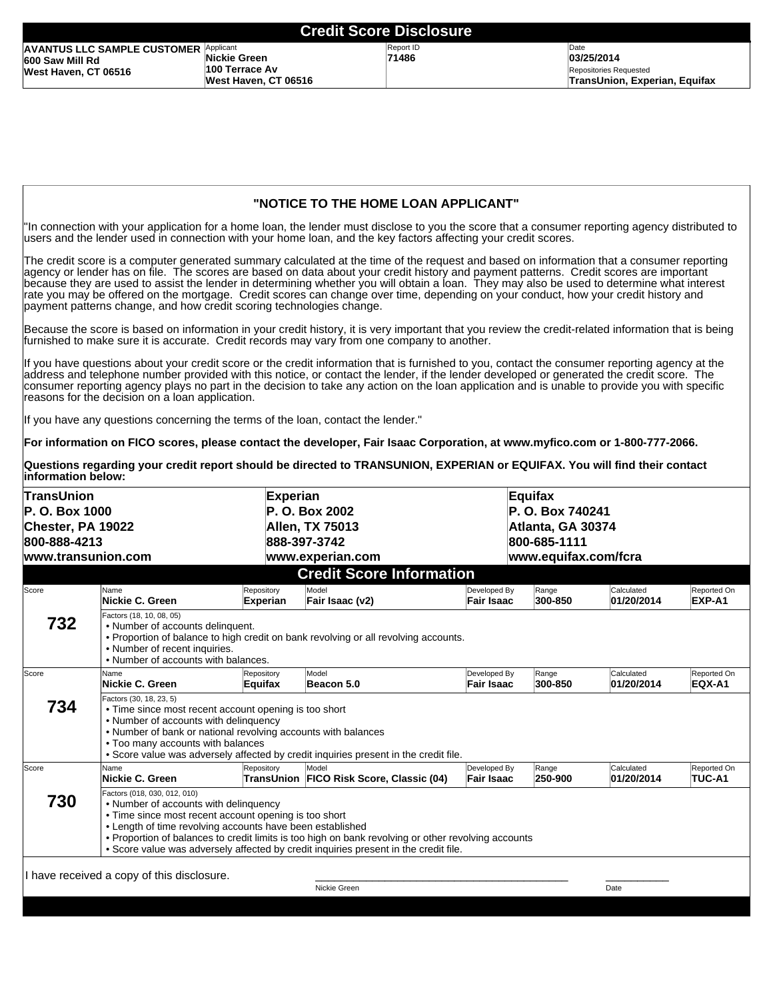| <b>AVANTUS LLC SAMPLE CUSTOMER</b> |
|------------------------------------|
| 600 Saw Mill Rd                    |
| West Haven, CT 06516               |

#### **Credit Score Disclosure**

Report ID Date **71486 03/25/2014** Repositories Requested **TransUnion, Experian, Equifax**

#### **"NOTICE TO THE HOME LOAN APPLICANT"**

"In connection with your application for a home loan, the lender must disclose to you the score that a consumer reporting agency distributed to users and the lender used in connection with your home loan, and the key factors affecting your credit scores.

The credit score is a computer generated summary calculated at the time of the request and based on information that a consumer reporting agency or lender has on file. The scores are based on data about your credit history and payment patterns. Credit scores are important because they are used to assist the lender in determining whether you will obtain a loan. They may also be used to determine what interest rate you may be offered on the mortgage. Credit scores can change over time, depending on your conduct, how your credit history and payment patterns change, and how credit scoring technologies change.

Because the score is based on information in your credit history, it is very important that you review the credit-related information that is being furnished to make sure it is accurate. Credit records may vary from one company to another.

If you have questions about your credit score or the credit information that is furnished to you, contact the consumer reporting agency at the address and telephone number provided with this notice, or contact the lender, if the lender developed or generated the credit score. The consumer reporting agency plays no part in the decision to take any action on the loan application and is unable to provide you with specific reasons for the decision on a loan application.

If you have any questions concerning the terms of the loan, contact the lender."

Applicant

**West Haven, CT 06516**

**For information on FICO scores, please contact the developer, Fair Isaac Corporation, at www.myfico.com or 1-800-777-2066.**

**TransUnion P. O. Box 1000 Chester, PA 19022 800-888-4213 www.transunion.com Experian P. O. Box 2002 Allen, TX 75013 888-397-3742 www.experian.com Equifax P. O. Box 740241 Atlanta, GA 30374 800-685-1111 www.equifax.com/fcra Credit Score Information** Score Mame Repository Model Developed By Range Calculated Reported On Reported On **Nickie C. Green Experian Fair Isaac (v2) Fair Isaac 300-850 01/20/2014 EXP-A1**  $732$   $\begin{array}{|l|}$   $\begin{array}{|l|}$  Factors (18, 10, 08, 05)<br>  $\bullet$  Number of accounts delinquent. • Proportion of balance to high credit on bank revolving or all revolving accounts. • Number of recent inquiries. • Number of accounts with balances. Score Mame Repository Model Developed By Range Calculated Reported On Reported On **Nickie C. Green Equifax Beacon 5.0 Fair Isaac 300-850 01/20/2014 EQX-A1**  $734$  Factors (30, 18, 23, 5)<br> $\bullet$  Time since most recent account opening is too short • Number of accounts with delinquency • Number of bank or national revolving accounts with balances • Too many accounts with balances • Score value was adversely affected by credit inquiries present in the credit file. Score Mame Repository Model Developed By Range Calculated Reported On Reported On **Nickie C. Green TransUnion FICO Risk Score, Classic (04) Fair Isaac 250-900 01/20/2014 TUC-A1**  $\textbf{730}$   $\begin{array}{|l|} \hline \text{Factors (018, 030, 012, 010)} \\\hline \textbf{• Number of accounts with delinquency} \\\hline \end{array}$ • Time since most recent account opening is too short • Length of time revolving accounts have been established • Proportion of balances to credit limits is too high on bank revolving or other revolving accounts • Score value was adversely affected by credit inquiries present in the credit file. I have received a copy of this disclosure.  $\frac{1}{N_1 + N_2}$  or  $\frac{1}{N_1 + N_1}$  or  $\frac{1}{N_1 + N_2}$  . That Nickie Green Date et al. (2008) and the set of the set of the set of the set of the set of the set of the set o

**Questions regarding your credit report should be directed to TRANSUNION, EXPERIAN or EQUIFAX. You will find their contact information below:**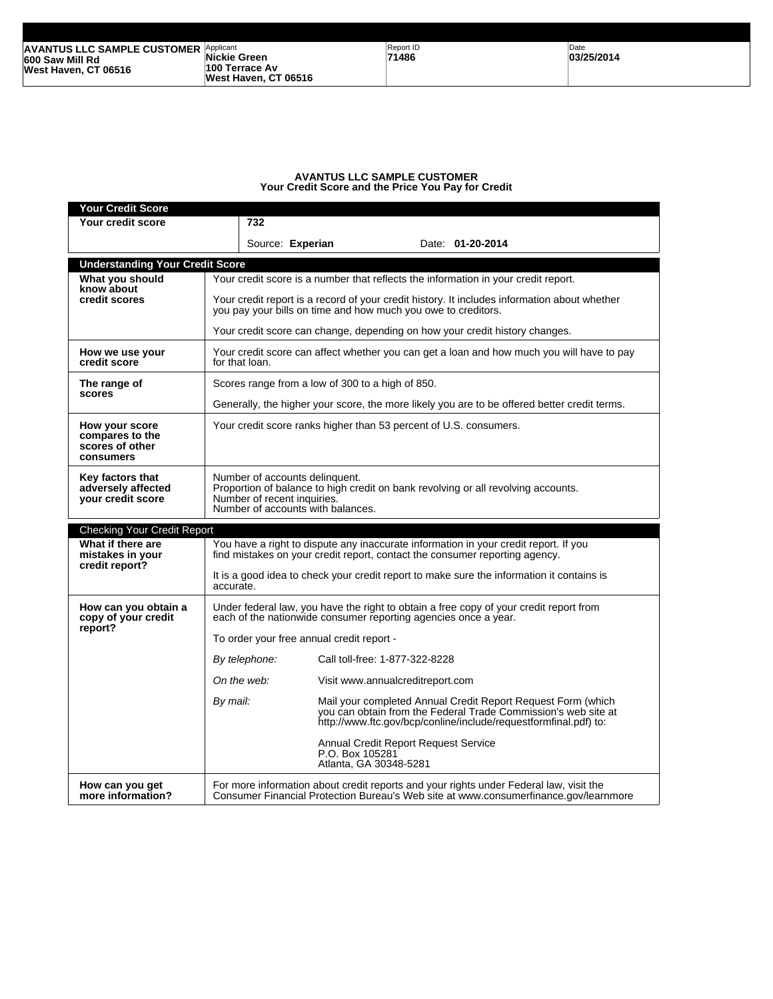Applicant **Nickie Green 100 Terrace Av West Haven, CT 06516** Report ID<br>71486

#### **AVANTUS LLC SAMPLE CUSTOMER Your Credit Score and the Price You Pay for Credit**

| Your Credit Score                                                 |                                                                                                                                                                                                                |
|-------------------------------------------------------------------|----------------------------------------------------------------------------------------------------------------------------------------------------------------------------------------------------------------|
| Your credit score                                                 | 732                                                                                                                                                                                                            |
|                                                                   | Source: Experian<br>Date: 01-20-2014                                                                                                                                                                           |
| <b>Understanding Your Credit Score</b>                            |                                                                                                                                                                                                                |
| What you should                                                   | Your credit score is a number that reflects the information in your credit report.                                                                                                                             |
| know about<br>credit scores                                       | Your credit report is a record of your credit history. It includes information about whether<br>you pay your bills on time and how much you owe to creditors.                                                  |
|                                                                   | Your credit score can change, depending on how your credit history changes.                                                                                                                                    |
| How we use your<br>credit score                                   | Your credit score can affect whether you can get a loan and how much you will have to pay<br>for that loan.                                                                                                    |
| The range of                                                      | Scores range from a low of 300 to a high of 850.                                                                                                                                                               |
| <b>scores</b>                                                     | Generally, the higher your score, the more likely you are to be offered better credit terms.                                                                                                                   |
| How your score<br>compares to the<br>scores of other<br>consumers | Your credit score ranks higher than 53 percent of U.S. consumers.                                                                                                                                              |
| Key factors that<br>adversely affected<br>your credit score       | Number of accounts delinguent.<br>Proportion of balance to high credit on bank revolving or all revolving accounts.<br>Number of recent inquiries.<br>Number of accounts with balances.                        |
| <b>Checking Your Credit Report</b>                                |                                                                                                                                                                                                                |
| What if there are<br>mistakes in your<br>credit report?           | You have a right to dispute any inaccurate information in your credit report. If you<br>find mistakes on your credit report, contact the consumer reporting agency.                                            |
|                                                                   | It is a good idea to check your credit report to make sure the information it contains is<br>accurate.                                                                                                         |
| How can you obtain a<br>copy of your credit                       | Under federal law, you have the right to obtain a free copy of your credit report from<br>each of the nationwide consumer reporting agencies once a year.                                                      |
| report?                                                           | To order your free annual credit report -                                                                                                                                                                      |
|                                                                   | By telephone:<br>Call toll-free: 1-877-322-8228                                                                                                                                                                |
|                                                                   | On the web:<br>Visit www.annualcreditreport.com                                                                                                                                                                |
|                                                                   | By mail:<br>Mail your completed Annual Credit Report Request Form (which<br>you can obtain from the Federal Trade Commission's web site at<br>http://www.ftc.gov/bcp/conline/include/requestformfinal.pdf) to: |
|                                                                   | Annual Credit Report Request Service<br>P.O. Box 105281<br>Atlanta, GA 30348-5281                                                                                                                              |
| How can you get<br>more information?                              | For more information about credit reports and your rights under Federal law, visit the<br>Consumer Financial Protection Bureau's Web site at www.consumerfinance.gov/learnmore                                 |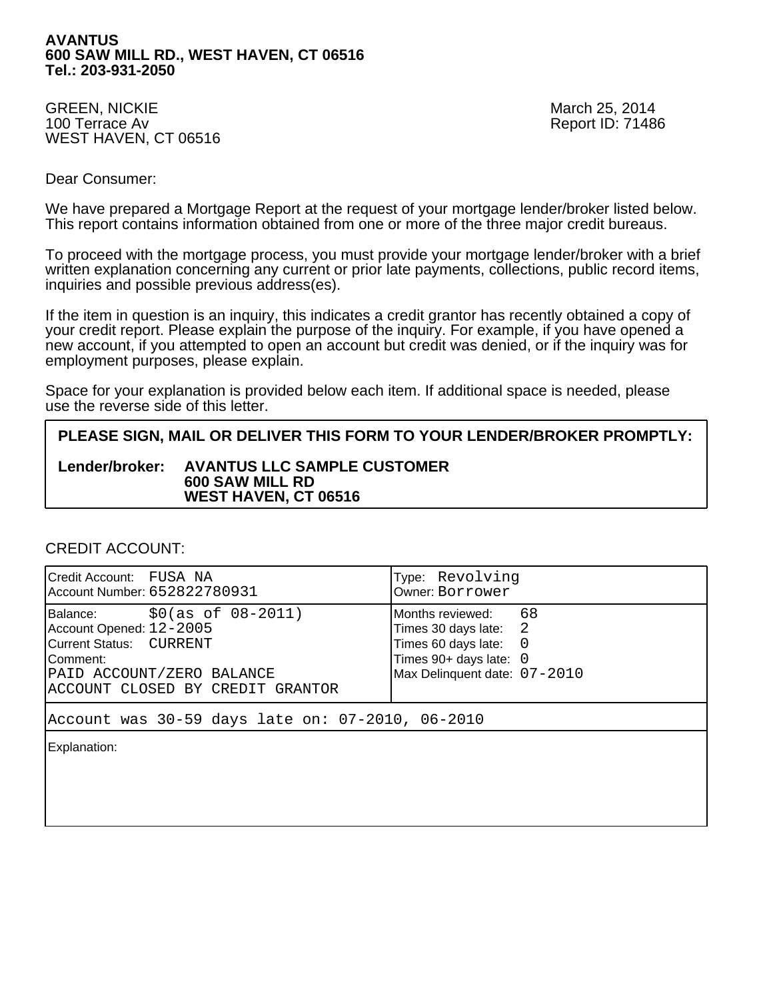#### **AVANTUS 600 SAW MILL RD., WEST HAVEN, CT 06516 Tel.: 203-931-2050**

GREEN, NICKIE March 25, 2014 WEST HAVEN, CT 06516

Report ID: 71486

#### Dear Consumer:

We have prepared a Mortgage Report at the request of your mortgage lender/broker listed below. This report contains information obtained from one or more of the three major credit bureaus.

To proceed with the mortgage process, you must provide your mortgage lender/broker with a brief written explanation concerning any current or prior late payments, collections, public record items, inquiries and possible previous address(es).

If the item in question is an inquiry, this indicates a credit grantor has recently obtained a copy of your credit report. Please explain the purpose of the inquiry. For example, if you have opened a new account, if you attempted to open an account but credit was denied, or if the inquiry was for employment purposes, please explain.

Space for your explanation is provided below each item. If additional space is needed, please use the reverse side of this letter.

**PLEASE SIGN, MAIL OR DELIVER THIS FORM TO YOUR LENDER/BROKER PROMPTLY:**

**Lender/broker: AVANTUS LLC SAMPLE CUSTOMER 600 SAW MILL RD WEST HAVEN, CT 06516**

### CREDIT ACCOUNT:

| Credit Account: FUSA NA<br>Account Number: 652822780931                                                                                                             | Type: Revolving<br>Owner: Borrower                                                                                                     |  |  |
|---------------------------------------------------------------------------------------------------------------------------------------------------------------------|----------------------------------------------------------------------------------------------------------------------------------------|--|--|
| $ Balance:$ $$0(as of 08-2011)$<br>Account Opened: 12-2005<br>Current Status: CURRENT<br>IComment:<br>PAID ACCOUNT/ZERO BALANCE<br>ACCOUNT CLOSED BY CREDIT GRANTOR | 68<br>Months reviewed:<br>Times 30 days late:<br>-2<br>Times 60 days late: 0<br>Times 90+ days late: 0<br>Max Delinguent date: 07-2010 |  |  |
| Account was 30-59 days late on: 07-2010, 06-2010                                                                                                                    |                                                                                                                                        |  |  |
| Explanation:                                                                                                                                                        |                                                                                                                                        |  |  |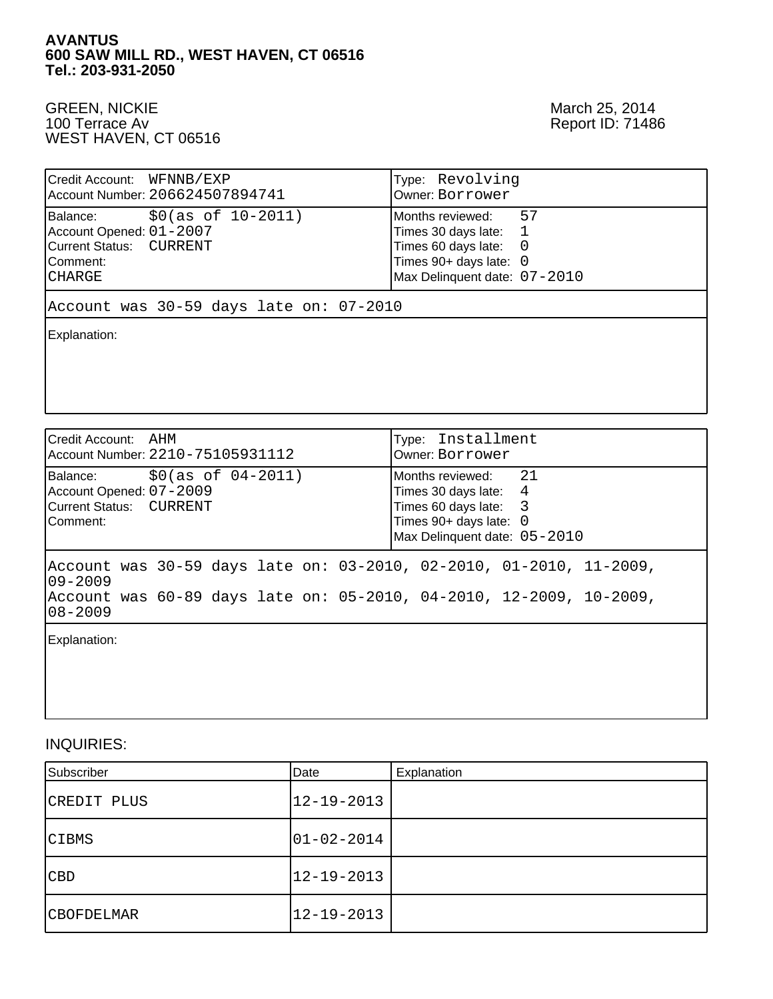#### **AVANTUS 600 SAW MILL RD., WEST HAVEN, CT 06516 Tel.: 203-931-2050**

#### GREEN, NICKIE NATURAL EN ETA ERREGIA ETA ERREGIA DE MARCH 25, 2014 100 Terrace Av **Report ID: 71486** WEST HAVEN, CT 06516

| Credit Account: WFNNB/EXP<br>Account Number: 206624507894741                                                 | Type: Revolving<br>Owner: Borrower                                                                                               |  |  |  |
|--------------------------------------------------------------------------------------------------------------|----------------------------------------------------------------------------------------------------------------------------------|--|--|--|
| $ $ Balance: $\frac{10}{2011}$<br>Account Opened: 01-2007<br>Current Status: CURRENT<br>IComment:<br>ICHARGE | 57<br>Months reviewed:<br>Times 30 days late:<br>Times 60 days late: 0<br>Times 90+ days late: 0<br>Max Delinquent date: 07-2010 |  |  |  |
| Account was 30-59 days late on: 07-2010                                                                      |                                                                                                                                  |  |  |  |
| Explanation:                                                                                                 |                                                                                                                                  |  |  |  |

| Credit Account: AHM<br>Account Number: 2210-75105931112                                                    | Type: Installment<br>Owner: Borrower                                                                                                 |
|------------------------------------------------------------------------------------------------------------|--------------------------------------------------------------------------------------------------------------------------------------|
| $ Balance:$ $$0 (as of 04-2011)$<br>Account Opened: 07-2009<br><b>Current Status: CURRENT</b><br>IComment: | IMonths reviewed: 21<br>Times 30 days late: 4<br>Times 60 days late: 3<br>Times $90+$ days late: $0$<br>Max Delinquent date: 05-2010 |
| Account was 30-59 days late on: 03-2010, 02-2010, 01-2010, 11-2009,<br>109-2009                            |                                                                                                                                      |
| Account was 60-89 days late on: 05-2010, 04-2010, 12-2009, 10-2009,<br>$108 - 2009$                        |                                                                                                                                      |
| Explanation:                                                                                               |                                                                                                                                      |

### INQUIRIES:

| Subscriber        | Date             | Explanation |
|-------------------|------------------|-------------|
| CREDIT PLUS       | $12 - 19 - 2013$ |             |
| <b>CIBMS</b>      | 01-02-2014       |             |
| CBD               | $12 - 19 - 2013$ |             |
| <b>CBOFDELMAR</b> | $12 - 19 - 2013$ |             |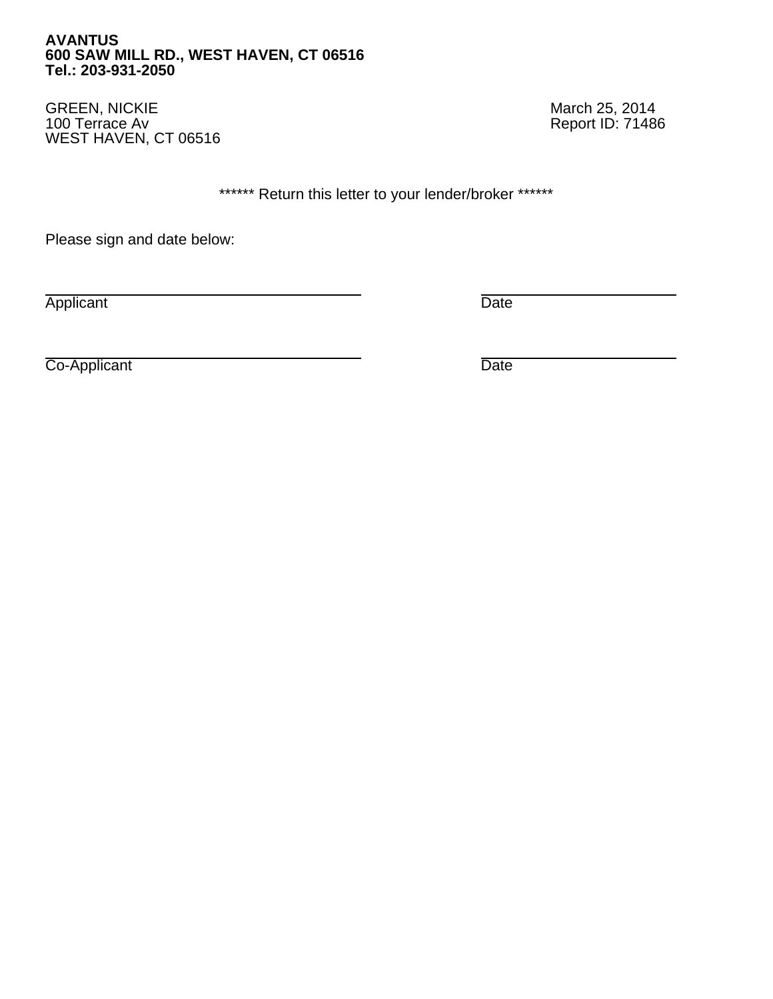#### **AVANTUS 600 SAW MILL RD., WEST HAVEN, CT 06516 Tel.: 203-931-2050**

GREEN, NICKIE NATURAL EN ETA ERREGIA ETA ERREGIA DE MARCH 25, 2014 100 Terrace Av **Report ID: 71486** WEST HAVEN, CT 06516

\*\*\*\*\*\* Return this letter to your lender/broker \*\*\*\*\*\*

Please sign and date below:

Applicant Date

Co-Applicant Date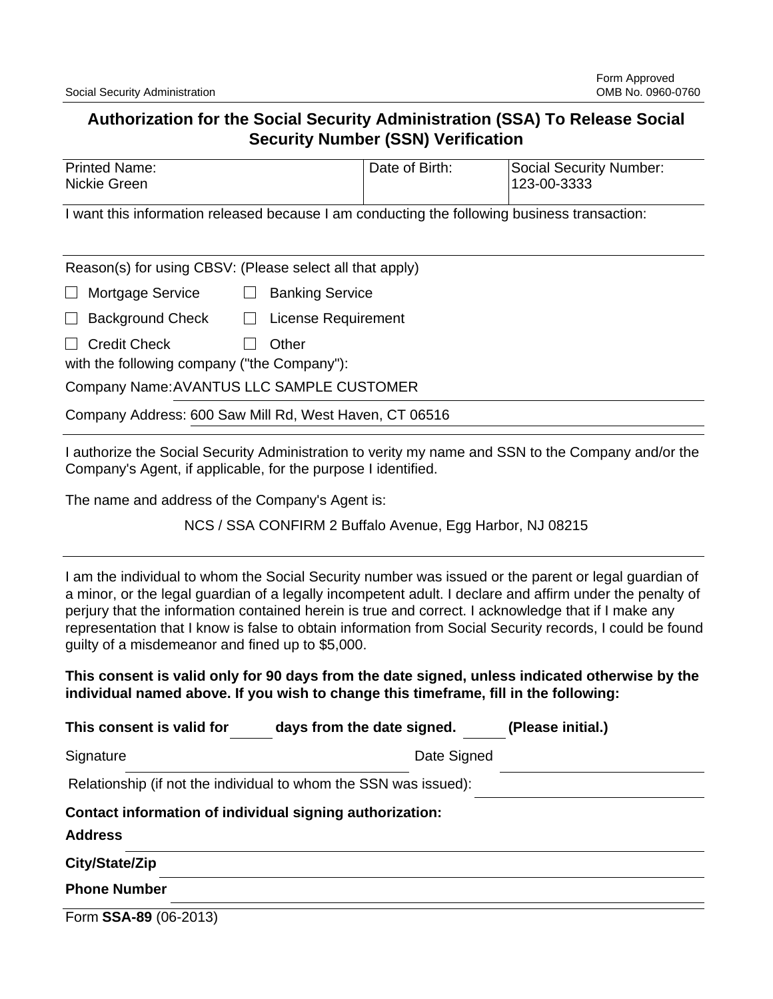## **Authorization for the Social Security Administration (SSA) To Release Social Security Number (SSN) Verification**

| <b>Printed Name:</b> | Date of Birth: | Social Security Number: |  |
|----------------------|----------------|-------------------------|--|
| Nickie Green         |                | 123-00-3333             |  |
|                      |                |                         |  |

I want this information released because I am conducting the following business transaction:

|  | Reason(s) for using CBSV: (Please select all that apply) |
|--|----------------------------------------------------------|
|--|----------------------------------------------------------|

- $\Box$  Mortgage Service  $\Box$  Banking Service
- $\Box$  Background Check  $\Box$  License Requirement
- $\Box$  Credit Check  $\Box$  Other

with the following company ("the Company"):

Company Name:AVANTUS LLC SAMPLE CUSTOMER

Company Address: 600 Saw Mill Rd, West Haven, CT 06516

I authorize the Social Security Administration to verity my name and SSN to the Company and/or the Company's Agent, if applicable, for the purpose I identified.

The name and address of the Company's Agent is:

NCS / SSA CONFIRM 2 Buffalo Avenue, Egg Harbor, NJ 08215

I am the individual to whom the Social Security number was issued or the parent or legal guardian of a minor, or the legal guardian of a legally incompetent adult. I declare and affirm under the penalty of perjury that the information contained herein is true and correct. I acknowledge that if I make any representation that I know is false to obtain information from Social Security records, I could be found guilty of a misdemeanor and fined up to \$5,000.

**This consent is valid only for 90 days from the date signed, unless indicated otherwise by the individual named above. If you wish to change this timeframe, fill in the following:**

| This consent is valid for                                | days from the date signed.                                       | (Please initial.) |  |  |  |
|----------------------------------------------------------|------------------------------------------------------------------|-------------------|--|--|--|
| Signature                                                | Date Signed                                                      |                   |  |  |  |
|                                                          | Relationship (if not the individual to whom the SSN was issued): |                   |  |  |  |
| Contact information of individual signing authorization: |                                                                  |                   |  |  |  |
| <b>Address</b>                                           |                                                                  |                   |  |  |  |
| City/State/Zip                                           |                                                                  |                   |  |  |  |
| <b>Phone Number</b>                                      |                                                                  |                   |  |  |  |
| Form SSA-89 (06-2013)                                    |                                                                  |                   |  |  |  |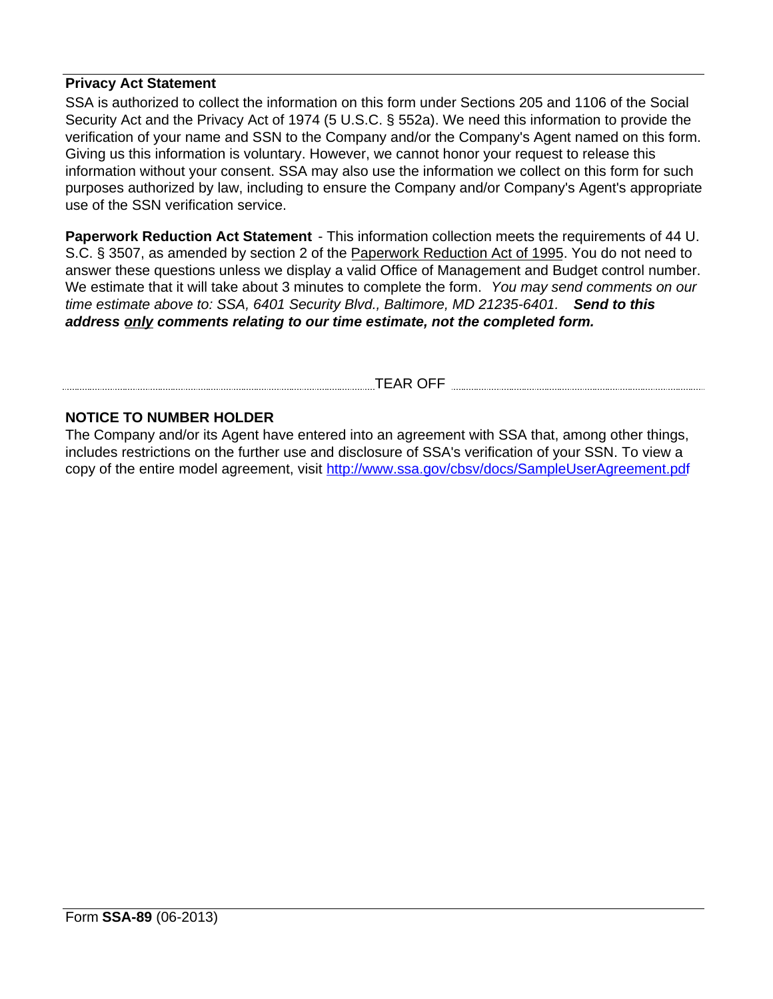#### **Privacy Act Statement**

SSA is authorized to collect the information on this form under Sections 205 and 1106 of the Social Security Act and the Privacy Act of 1974 (5 U.S.C. § 552a). We need this information to provide the verification of your name and SSN to the Company and/or the Company's Agent named on this form. Giving us this information is voluntary. However, we cannot honor your request to release this information without your consent. SSA may also use the information we collect on this form for such purposes authorized by law, including to ensure the Company and/or Company's Agent's appropriate use of the SSN verification service.

**Paperwork Reduction Act Statement** - This information collection meets the requirements of 44 U. S.C. § 3507, as amended by section 2 of the Paperwork Reduction Act of 1995. You do not need to answer these questions unless we display a valid Office of Management and Budget control number. We estimate that it will take about 3 minutes to complete the form. You may send comments on our time estimate above to: SSA, 6401 Security Blvd., Baltimore, MD 21235-6401. **Send to this address only comments relating to our time estimate, not the completed form.**

TEAR OFF

### **NOTICE TO NUMBER HOLDER**

The Company and/or its Agent have entered into an agreement with SSA that, among other things, includes restrictions on the further use and disclosure of SSA's verification of your SSN. To view a copy of the entire model agreement, visit <http://www.ssa.gov/cbsv/docs/SampleUserAgreement.pdf>